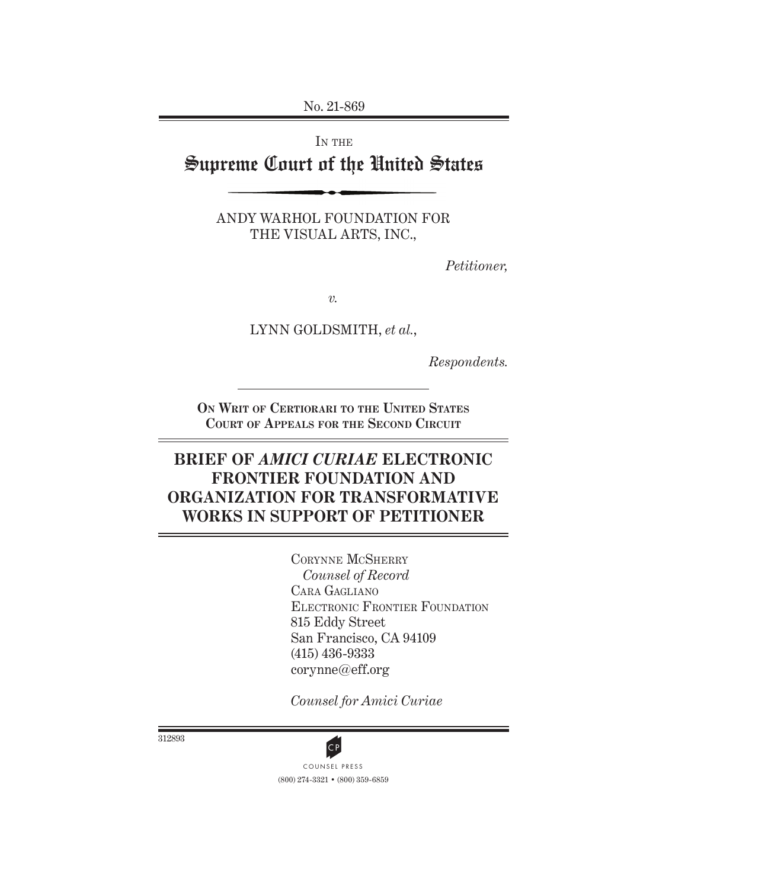No. 21-869

IN THE Supreme Court of the United States

> ANDY WARHOL FOUNDATION FOR THE VISUAL ARTS, INC.,

> > *Petitioner,*

*v.*

LYNN GOLDSMITH, *et al.*,

*Respondents.*

**On Writ of Certiorari to the United States Court of Appeals for the Second Circuit**

# **BRIEF OF** *AMICI CURIAE* **ELECTRONIC FRONTIER FOUNDATION AND ORGANIZATION FOR TRANSFORMATIVE WORKS IN SUPPORT OF PETITIONER**

Corynne McSherry *Counsel of Record* Cara Gagliano Electronic Frontier Foundation 815 Eddy Street San Francisco, CA 94109 (415) 436-9333 corynne@eff.org

*Counsel for Amici Curiae*

312893



(800) 274-3321 • (800) 359-6859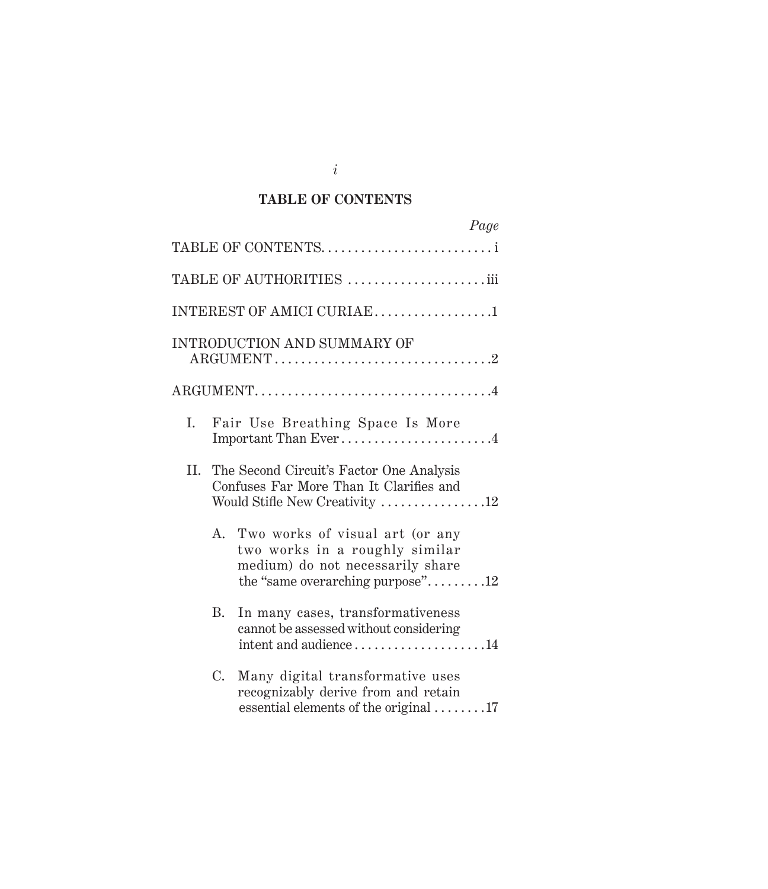## **TABLE OF CONTENTS**

|     |             | Page                                                                                                                                      |  |
|-----|-------------|-------------------------------------------------------------------------------------------------------------------------------------------|--|
|     |             | TABLE OF CONTENTS                                                                                                                         |  |
|     |             | TABLE OF AUTHORITIES iii                                                                                                                  |  |
|     |             | INTEREST OF AMICI CURIAE1                                                                                                                 |  |
|     |             | INTRODUCTION AND SUMMARY OF                                                                                                               |  |
|     |             |                                                                                                                                           |  |
| I.  |             | Fair Use Breathing Space Is More<br>Important Than Ever4                                                                                  |  |
| II. |             | The Second Circuit's Factor One Analysis<br>Confuses Far More Than It Clarifies and<br>Would Stifle New Creativity 12                     |  |
|     | A.          | Two works of visual art (or any<br>two works in a roughly similar<br>medium) do not necessarily share<br>the "same overarching purpose"12 |  |
|     | B.          | In many cases, transformativeness<br>cannot be assessed without considering<br>intent and audience14                                      |  |
|     | $C_{\cdot}$ | Many digital transformative uses<br>recognizably derive from and retain<br>essential elements of the original 17                          |  |

*i*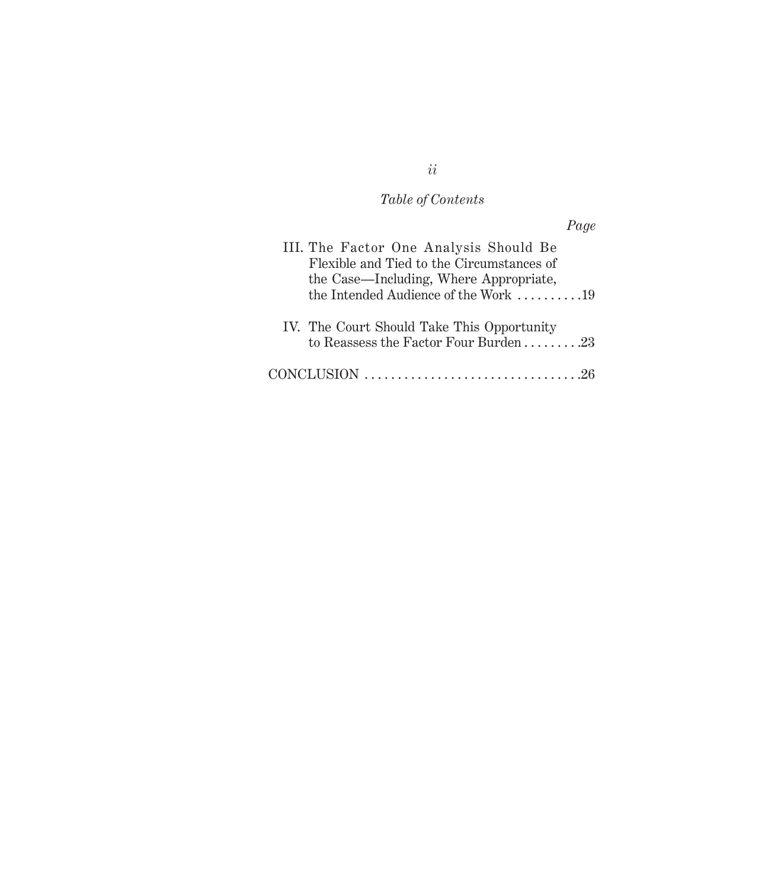### *Table of Contents*

*Page* III. The Factor One Analysis Should Be Flexible and Tied to the Circumstances of the Case—Including, Where Appropriate, the Intended Audience of the Work  $\,\ldots\ldots\ldots\,19$ IV. The Court Should Take This Opportunity to Reassess the Factor Four Burden  $\dots \dots 23$ CONCLUSION . 26

*ii*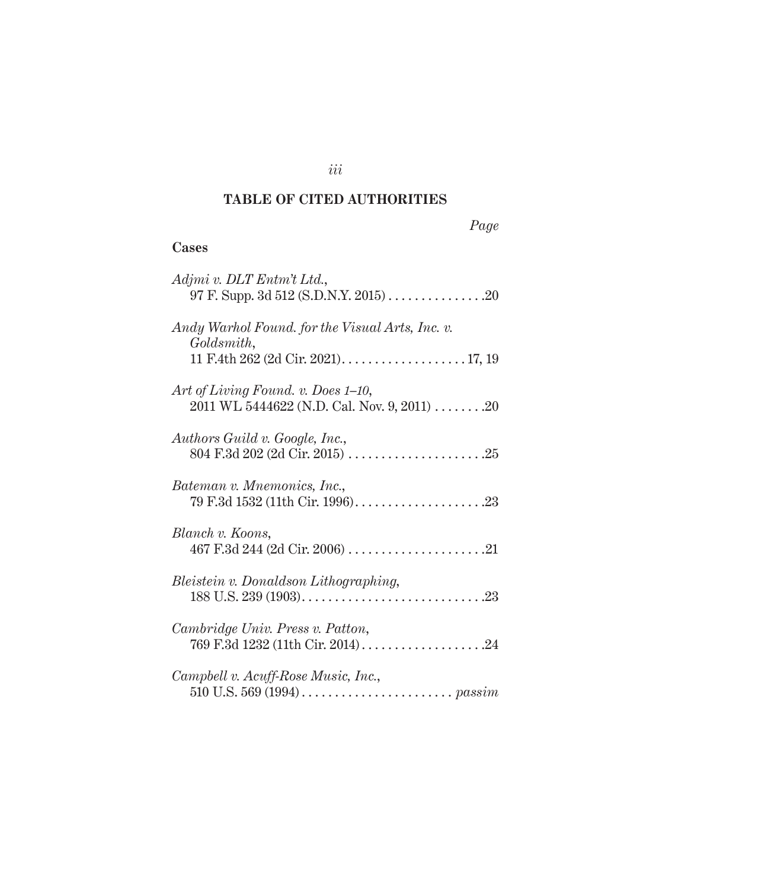## **TABLE OF CITED AUTHORITIES**

## **Cases**

| Adjmi v. DLT Entm't Ltd.,                                                                                              |
|------------------------------------------------------------------------------------------------------------------------|
| Andy Warhol Found, for the Visual Arts, Inc. v.<br>Goldsmith,<br>11 F.4th 262 (2d Cir. 2021). $\dots$ . $\dots$ 17, 19 |
| Art of Living Found. v. Does 1-10,<br>$2011$ WL 5444622 (N.D. Cal. Nov. 9, 2011) 20                                    |
| Authors Guild v. Google, Inc.,                                                                                         |
| Bateman v. Mnemonics, Inc.,                                                                                            |
| Blanch v. Koons,                                                                                                       |
| Bleistein v. Donaldson Lithographing,                                                                                  |
| Cambridge Univ. Press v. Patton,                                                                                       |
| Campbell v. Acuff-Rose Music, Inc.,                                                                                    |

*iii*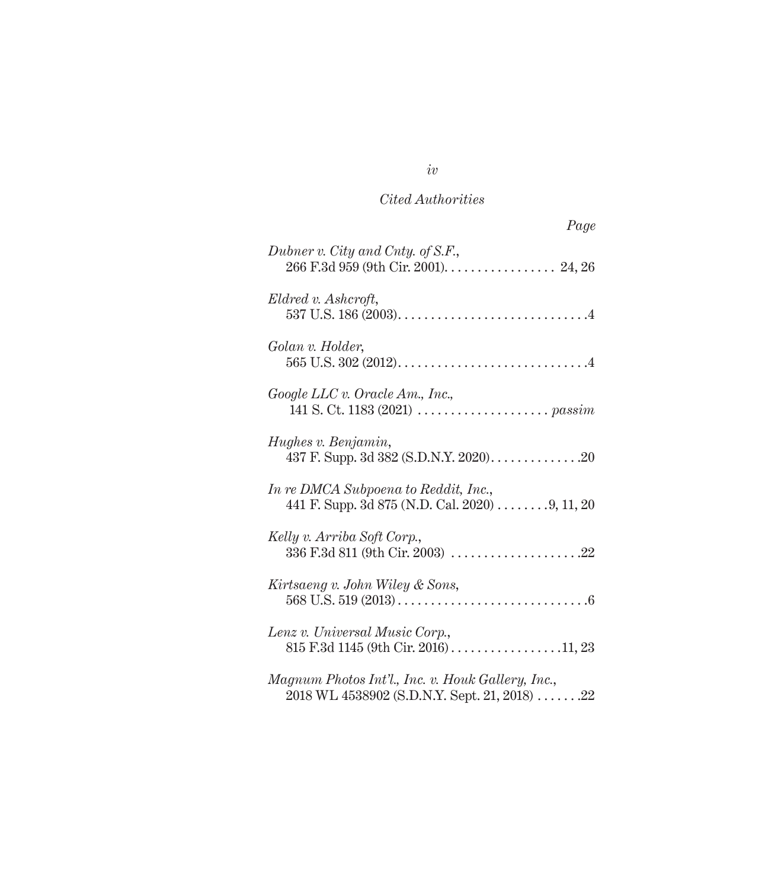| Page                                                                                              |
|---------------------------------------------------------------------------------------------------|
| Dubner v. City and Cnty. of S.F.,<br>266 F.3d 959 (9th Cir. 2001). 24, 26                         |
| Eldred v. Ashcroft,                                                                               |
| Golan v. Holder,                                                                                  |
| Google LLC v. Oracle Am., Inc.,                                                                   |
| Hughes v. Benjamin,<br>437 F. Supp. 3d 382 (S.D.N.Y. 2020). 20                                    |
| In re DMCA Subpoena to Reddit, Inc.,<br>441 F. Supp. 3d 875 (N.D. Cal. 2020) 9, 11, 20            |
| Kelly v. Arriba Soft Corp.,<br>336 F.3d 811 (9th Cir. 2003) 22                                    |
| Kirtsaeng v. John Wiley & Sons,                                                                   |
| Lenz v. Universal Music Corp.,                                                                    |
| Magnum Photos Int'l., Inc. v. Houk Gallery, Inc.,<br>2018 WL 4538902 (S.D.N.Y. Sept. 21, 2018) 22 |

## *iv*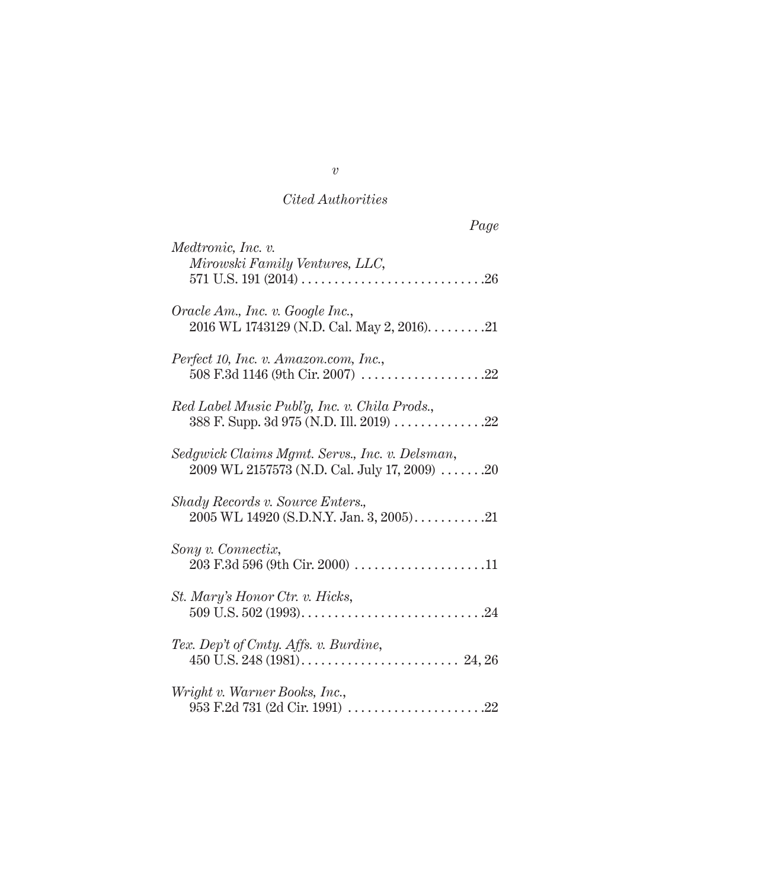| Page                                                                                                                    |
|-------------------------------------------------------------------------------------------------------------------------|
| Medtronic, Inc. v.<br>Mirowski Family Ventures, LLC,                                                                    |
| Oracle Am., Inc. v. Google Inc.,<br>2016 WL 1743129 (N.D. Cal. May 2, 2016). $\dots \dots 21$                           |
| Perfect 10, Inc. v. Amazon.com, Inc.,                                                                                   |
| Red Label Music Publ'g, Inc. v. Chila Prods.,<br>388 F. Supp. 3d 975 (N.D. Ill. 2019) 22                                |
| Sedgwick Claims Mgmt. Servs., Inc. v. Delsman,<br>$2009 \text{ WL } 2157573 \text{ (N.D. Cal. July 17, 2009)} \dots 20$ |
| Shady Records v. Source Enters.,<br>2005 WL 14920 (S.D.N.Y. Jan. 3, 2005)21                                             |
| Sony v. Connectix,<br>203 F.3d 596 (9th Cir. 2000) 11                                                                   |
| St. Mary's Honor Ctr. v. Hicks,                                                                                         |
| Tex. Dep't of Cmty. Affs. v. Burdine,                                                                                   |
| Wright v. Warner Books, Inc.,                                                                                           |

*v*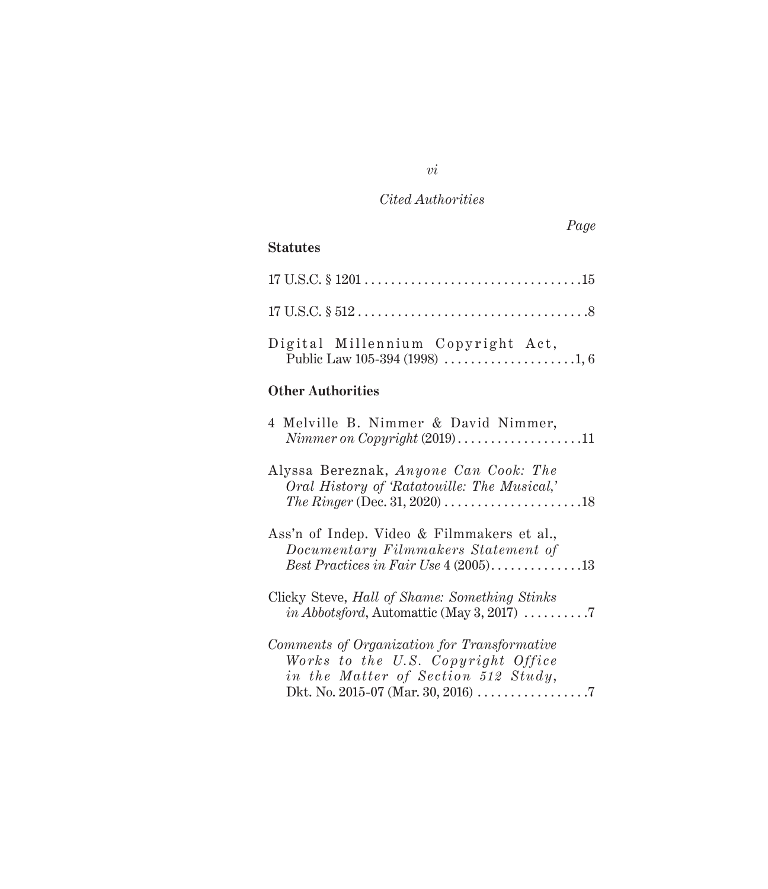## **Statutes**

| Digital Millennium Copyright Act, |  |
|-----------------------------------|--|

## **Other Authorities**

| 4 Melville B. Nimmer & David Nimmer,<br>$Nimmer on Copyright (2019) \dots \dots \dots \dots \dots \dots 11$                                                             |
|-------------------------------------------------------------------------------------------------------------------------------------------------------------------------|
| Alyssa Bereznak, Anyone Can Cook: The<br>Oral History of 'Ratatouille: The Musical,'<br>The Ringer (Dec. 31, 2020) $\dots \dots \dots \dots \dots \dots \dots \dots 18$ |
| Ass'n of Indep. Video & Filmmakers et al.,<br>Documentary Filmmakers Statement of<br>Best Practices in Fair Use $4(2005)$ 13                                            |
| Clicky Steve, Hall of Shame: Something Stinks<br><i>in Abbotsford</i> , Automattic (May 3, 2017) $\dots \dots \dots$                                                    |
| Comments of Organization for Transformative<br>Works to the U.S. Copyright Office<br>in the Matter of Section 512 Study,                                                |

## *vi*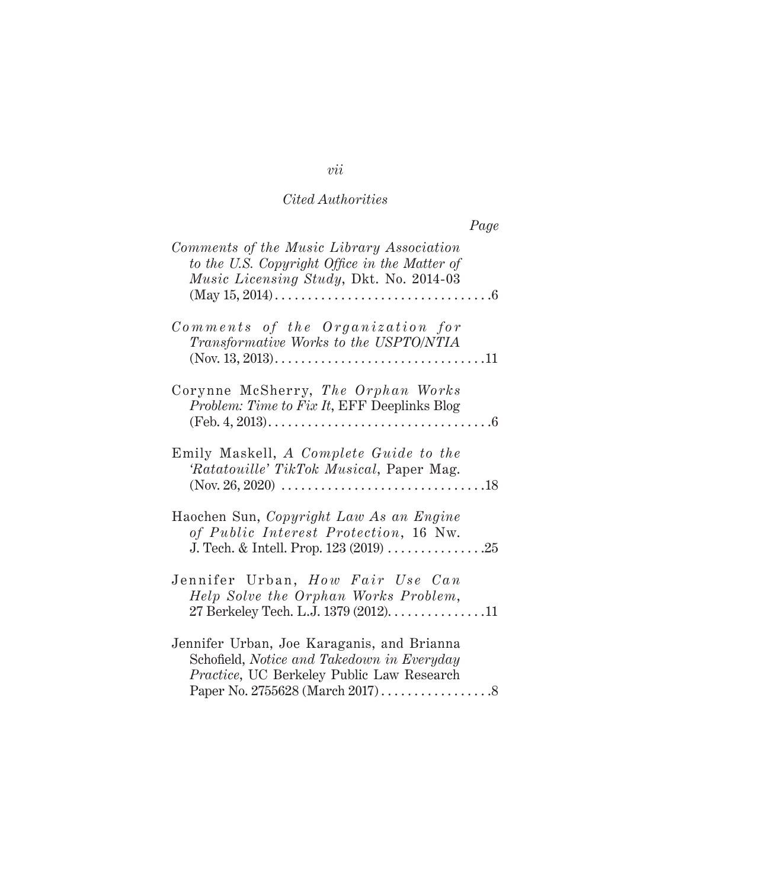| Page                                                                                                                                                                                                                                                 |  |
|------------------------------------------------------------------------------------------------------------------------------------------------------------------------------------------------------------------------------------------------------|--|
| Comments of the Music Library Association<br>to the U.S. Copyright Office in the Matter of<br>Music Licensing Study, Dkt. No. 2014-03<br>$(May 15, 2014) \ldots \ldots \ldots \ldots \ldots \ldots \ldots \ldots \ldots \ldots \ldots \ldots \ldots$ |  |
| Comments of the Organization for<br>Transformative Works to the USPTO/NTIA                                                                                                                                                                           |  |
| Corynne McSherry, The Orphan Works<br>Problem: Time to Fix It, EFF Deeplinks Blog                                                                                                                                                                    |  |
| Emily Maskell, A Complete Guide to the<br>'Ratatouille' TikTok Musical, Paper Mag.                                                                                                                                                                   |  |
| Haochen Sun, Copyright Law As an Engine<br>of Public Interest Protection, 16 Nw.                                                                                                                                                                     |  |
| Jennifer Urban, How Fair Use Can<br>Help Solve the Orphan Works Problem,<br>27 Berkeley Tech. L.J. 1379 (2012). 11                                                                                                                                   |  |
| Jennifer Urban, Joe Karaganis, and Brianna<br>Schofield, Notice and Takedown in Everyday<br>Practice, UC Berkeley Public Law Research                                                                                                                |  |

*vii*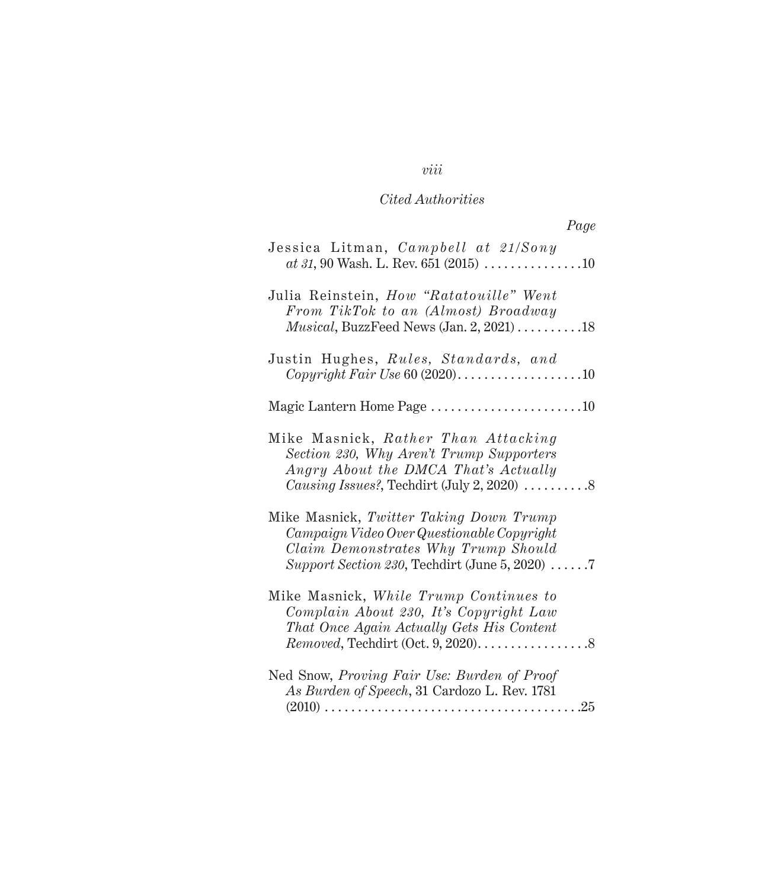| Page                                                                                                                                                                           |  |
|--------------------------------------------------------------------------------------------------------------------------------------------------------------------------------|--|
| Jessica Litman, Campbell at 21/Sony<br>$at 31,90$ Wash. L. Rev. 651 (2015) 10                                                                                                  |  |
| Julia Reinstein, How "Ratatouille" Went<br>From TikTok to an (Almost) Broadway<br><i>Musical</i> , BuzzFeed News $(Jan. 2, 2021) \ldots \ldots \ldots \ldots 18$               |  |
| Justin Hughes, Rules, Standards, and                                                                                                                                           |  |
|                                                                                                                                                                                |  |
| Mike Masnick, Rather Than Attacking<br>Section 230, Why Aren't Trump Supporters<br>Angry About the DMCA That's Actually<br>Causing Issues?, Techdirt (July 2, 2020) 8          |  |
| Mike Masnick, Twitter Taking Down Trump<br>Campaign Video Over Questionable Copyright<br>Claim Demonstrates Why Trump Should<br>Support Section 230, Techdirt (June 5, 2020) 7 |  |
| Mike Masnick, While Trump Continues to<br>Complain About 230, It's Copyright Law<br>That Once Again Actually Gets His Content                                                  |  |
| Ned Snow, Proving Fair Use: Burden of Proof<br>As Burden of Speech, 31 Cardozo L. Rev. 1781<br>. 25<br>$(2010) \ldots$                                                         |  |

## *viii*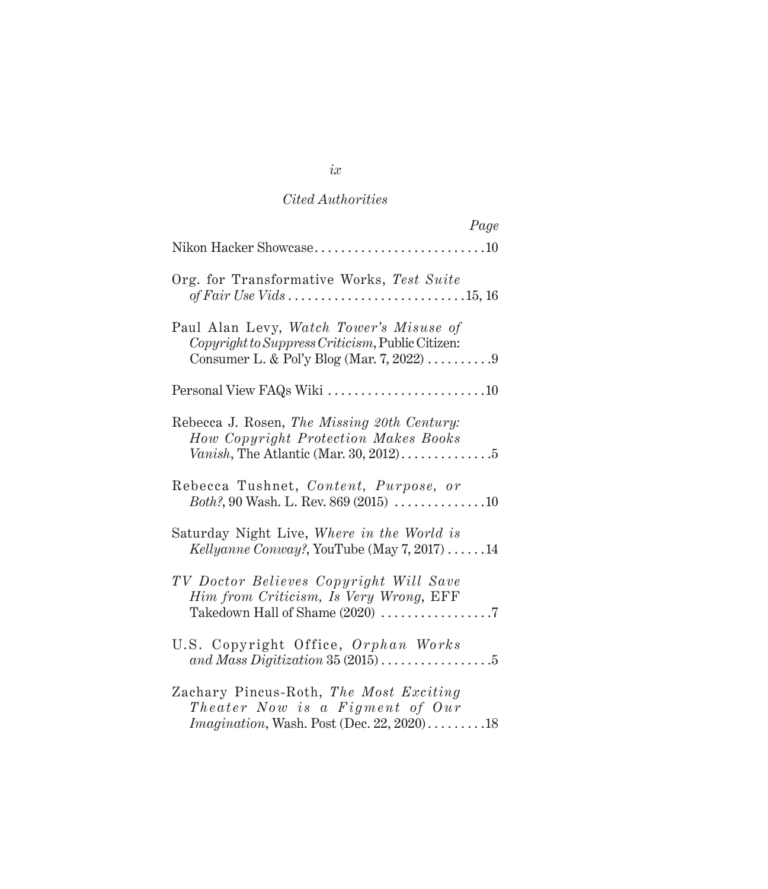| Page                                                                                                                                     |
|------------------------------------------------------------------------------------------------------------------------------------------|
| Nikon Hacker Showcase10                                                                                                                  |
| Org. for Transformative Works, Test Suite                                                                                                |
| Paul Alan Levy, Watch Tower's Misuse of<br>Copyright to Suppress Criticism, Public Citizen:<br>Consumer L. & Pol'y Blog (Mar. 7, 2022) 9 |
|                                                                                                                                          |
| Rebecca J. Rosen, The Missing 20th Century:<br>How Copyright Protection Makes Books                                                      |
| Rebecca Tushnet, Content, Purpose, or<br><i>Both?</i> , 90 Wash. L. Rev. 869 (2015) $\ldots$ 10                                          |
| Saturday Night Live, Where in the World is<br><i>Kellyanne Conway?</i> , YouTube (May $7, 2017$ )14                                      |
| TV Doctor Believes Copyright Will Save<br>Him from Criticism, Is Very Wrong, EFF<br>Takedown Hall of Shame (2020) 7                      |
| U.S. Copyright Office, Orphan Works<br>and Mass Digitization 35 $(2015)$ 5                                                               |
| Zachary Pincus-Roth, The Most Exciting<br>Theater Now is a Figment of Our<br><i>Imagination</i> , Wash. Post (Dec. 22, 2020)18           |

*ix*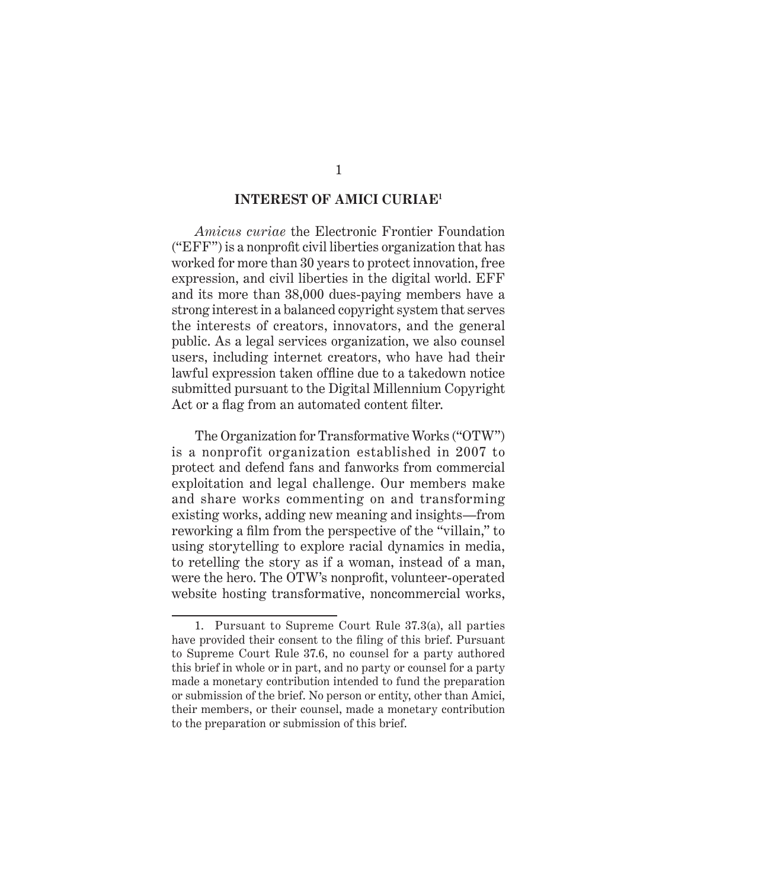### **INTEREST OF AMICI CURIAE1**

*Amicus curiae* the Electronic Frontier Foundation ("EFF") is a nonprofit civil liberties organization that has worked for more than 30 years to protect innovation, free expression, and civil liberties in the digital world. EFF and its more than 38,000 dues-paying members have a strong interest in a balanced copyright system that serves the interests of creators, innovators, and the general public. As a legal services organization, we also counsel users, including internet creators, who have had their lawful expression taken offline due to a takedown notice submitted pursuant to the Digital Millennium Copyright Act or a flag from an automated content filter.

The Organization for Transformative Works ("OTW") is a nonprofit organization established in 2007 to protect and defend fans and fanworks from commercial exploitation and legal challenge. Our members make and share works commenting on and transforming existing works, adding new meaning and insights—from reworking a film from the perspective of the "villain," to using storytelling to explore racial dynamics in media, to retelling the story as if a woman, instead of a man, were the hero. The OTW's nonprofit, volunteer-operated website hosting transformative, noncommercial works,

<sup>1.</sup> Pursuant to Supreme Court Rule 37.3(a), all parties have provided their consent to the filing of this brief. Pursuant to Supreme Court Rule 37.6, no counsel for a party authored this brief in whole or in part, and no party or counsel for a party made a monetary contribution intended to fund the preparation or submission of the brief. No person or entity, other than Amici, their members, or their counsel, made a monetary contribution to the preparation or submission of this brief.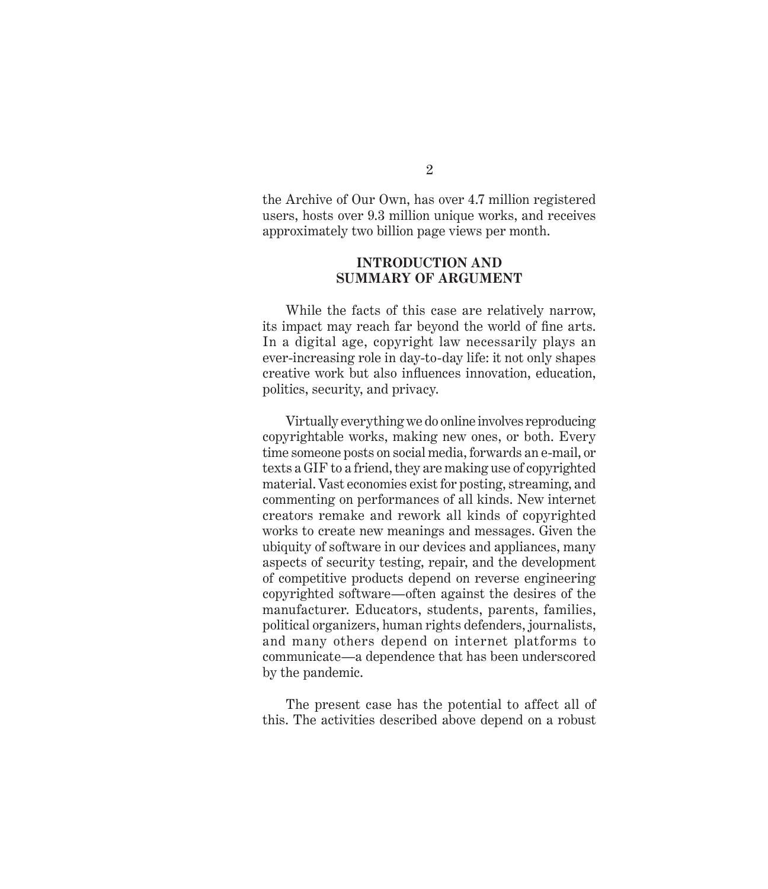the Archive of Our Own, has over 4.7 million registered users, hosts over 9.3 million unique works, and receives approximately two billion page views per month.

### **introduction and Summary of Argument**

While the facts of this case are relatively narrow, its impact may reach far beyond the world of fine arts. In a digital age, copyright law necessarily plays an ever-increasing role in day-to-day life: it not only shapes creative work but also influences innovation, education, politics, security, and privacy.

Virtually everything we do online involves reproducing copyrightable works, making new ones, or both. Every time someone posts on social media, forwards an e-mail, or texts a GIF to a friend, they are making use of copyrighted material. Vast economies exist for posting, streaming, and commenting on performances of all kinds. New internet creators remake and rework all kinds of copyrighted works to create new meanings and messages. Given the ubiquity of software in our devices and appliances, many aspects of security testing, repair, and the development of competitive products depend on reverse engineering copyrighted software—often against the desires of the manufacturer. Educators, students, parents, families, political organizers, human rights defenders, journalists, and many others depend on internet platforms to communicate—a dependence that has been underscored by the pandemic.

The present case has the potential to affect all of this. The activities described above depend on a robust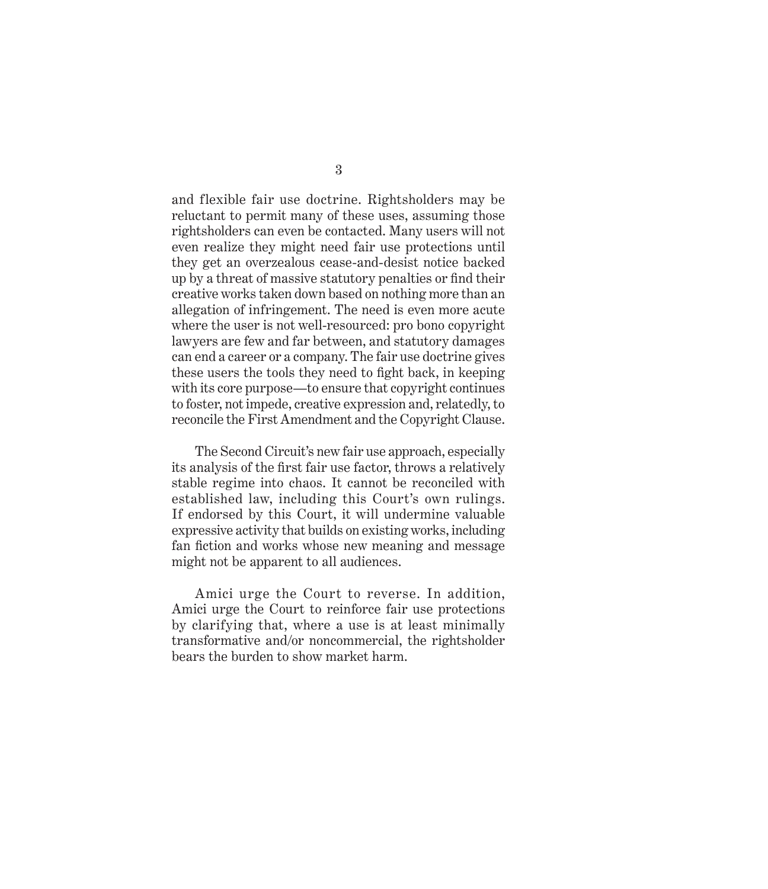and flexible fair use doctrine. Rightsholders may be reluctant to permit many of these uses, assuming those rightsholders can even be contacted. Many users will not even realize they might need fair use protections until they get an overzealous cease-and-desist notice backed up by a threat of massive statutory penalties or find their creative works taken down based on nothing more than an allegation of infringement. The need is even more acute where the user is not well-resourced: pro bono copyright lawyers are few and far between, and statutory damages can end a career or a company. The fair use doctrine gives these users the tools they need to fight back, in keeping with its core purpose—to ensure that copyright continues to foster, not impede, creative expression and, relatedly, to reconcile the First Amendment and the Copyright Clause.

The Second Circuit's new fair use approach, especially its analysis of the first fair use factor, throws a relatively stable regime into chaos. It cannot be reconciled with established law, including this Court's own rulings. If endorsed by this Court, it will undermine valuable expressive activity that builds on existing works, including fan fiction and works whose new meaning and message might not be apparent to all audiences.

Amici urge the Court to reverse. In addition, Amici urge the Court to reinforce fair use protections by clarifying that, where a use is at least minimally transformative and/or noncommercial, the rightsholder bears the burden to show market harm.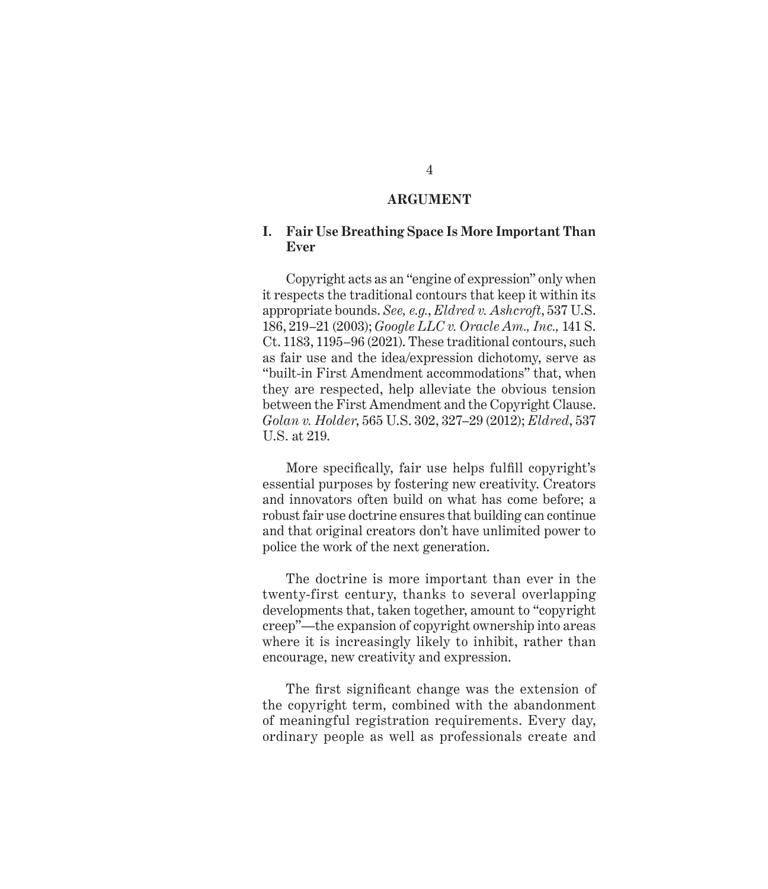### **Argument**

### **I. Fair Use Breathing Space Is More Important Than Ever**

Copyright acts as an "engine of expression" only when it respects the traditional contours that keep it within its appropriate bounds. *See, e.g.*, *Eldred v. Ashcroft*, 537 U.S. 186, 219–21 (2003); *Google LLC v. Oracle Am., Inc.,* 141 S. Ct. 1183, 1195–96 (2021). These traditional contours, such as fair use and the idea/expression dichotomy, serve as "built-in First Amendment accommodations" that, when they are respected, help alleviate the obvious tension between the First Amendment and the Copyright Clause. *Golan v. Holder*, 565 U.S. 302, 327–29 (2012); *Eldred*, 537 U.S. at 219.

More specifically, fair use helps fulfill copyright's essential purposes by fostering new creativity. Creators and innovators often build on what has come before; a robust fair use doctrine ensures that building can continue and that original creators don't have unlimited power to police the work of the next generation.

The doctrine is more important than ever in the twenty-first century, thanks to several overlapping developments that, taken together, amount to "copyright creep"—the expansion of copyright ownership into areas where it is increasingly likely to inhibit, rather than encourage, new creativity and expression.

The first significant change was the extension of the copyright term, combined with the abandonment of meaningful registration requirements. Every day, ordinary people as well as professionals create and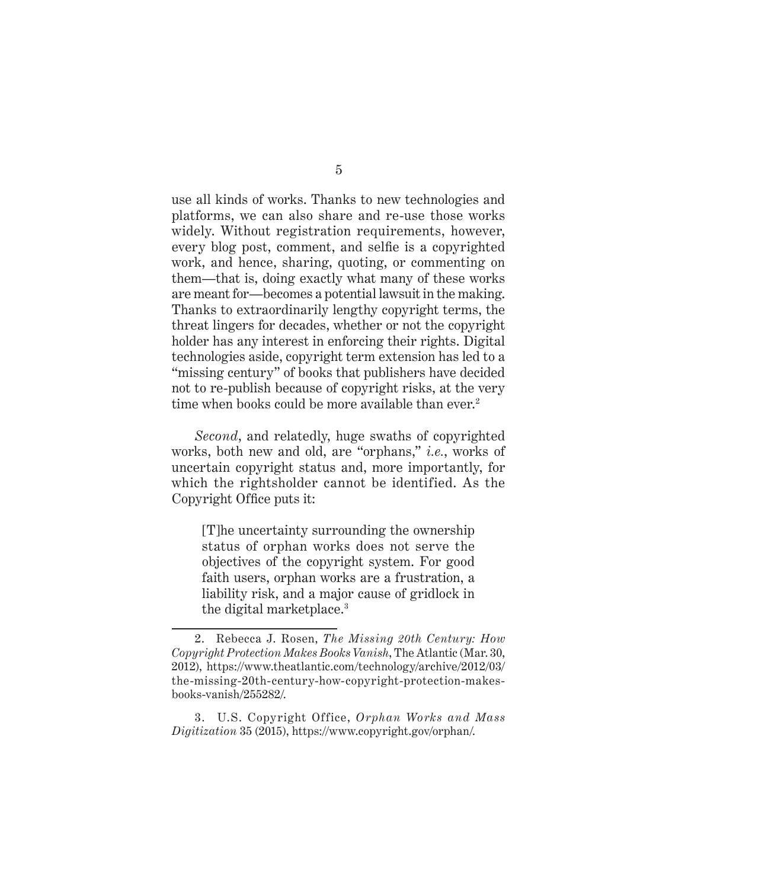use all kinds of works. Thanks to new technologies and platforms, we can also share and re-use those works widely. Without registration requirements, however, every blog post, comment, and selfie is a copyrighted work, and hence, sharing, quoting, or commenting on them—that is, doing exactly what many of these works are meant for—becomes a potential lawsuit in the making. Thanks to extraordinarily lengthy copyright terms, the threat lingers for decades, whether or not the copyright holder has any interest in enforcing their rights. Digital technologies aside, copyright term extension has led to a "missing century" of books that publishers have decided not to re-publish because of copyright risks, at the very time when books could be more available than ever.<sup>2</sup>

*Second*, and relatedly, huge swaths of copyrighted works, both new and old, are "orphans," *i.e.*, works of uncertain copyright status and, more importantly, for which the rightsholder cannot be identified. As the Copyright Office puts it:

[T]he uncertainty surrounding the ownership status of orphan works does not serve the objectives of the copyright system. For good faith users, orphan works are a frustration, a liability risk, and a major cause of gridlock in the digital marketplace.<sup>3</sup>

<sup>2.</sup> Rebecca J. Rosen, *The Missing 20th Century: How Copyright Protection Makes Books Vanish*, The Atlantic (Mar. 30, 2012), https://www.theatlantic.com/technology/archive/2012/03/ the-missing-20th-century-how-copyright-protection-makesbooks-vanish/255282/.

<sup>3.</sup> U.S. Copyright Office, *Orphan Works and Mass Digitization* 35 (2015), https://www.copyright.gov/orphan/.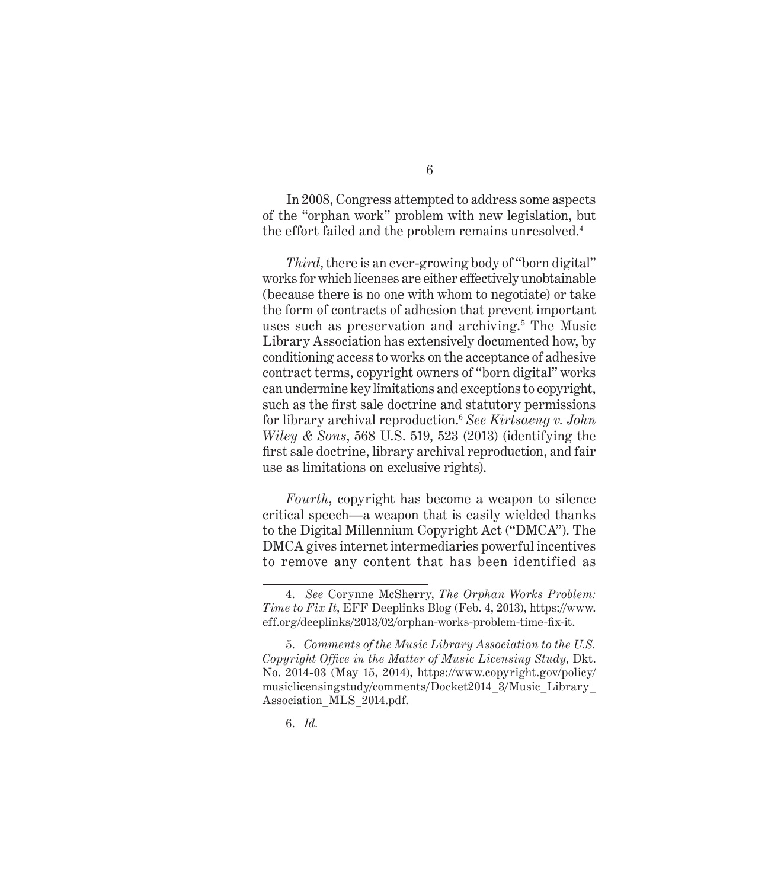In 2008, Congress attempted to address some aspects of the "orphan work" problem with new legislation, but the effort failed and the problem remains unresolved.<sup>4</sup>

*Third*, there is an ever-growing body of "born digital" works for which licenses are either effectively unobtainable (because there is no one with whom to negotiate) or take the form of contracts of adhesion that prevent important uses such as preservation and archiving.<sup>5</sup> The Music Library Association has extensively documented how, by conditioning access to works on the acceptance of adhesive contract terms, copyright owners of "born digital" works can undermine key limitations and exceptions to copyright, such as the first sale doctrine and statutory permissions for library archival reproduction.<sup>6</sup> *See Kirtsaeng v. John Wiley & Sons*, 568 U.S. 519, 523 (2013) (identifying the first sale doctrine, library archival reproduction, and fair use as limitations on exclusive rights).

*Fourth*, copyright has become a weapon to silence critical speech—a weapon that is easily wielded thanks to the Digital Millennium Copyright Act ("DMCA"). The DMCA gives internet intermediaries powerful incentives to remove any content that has been identified as

<sup>4.</sup> *See* Corynne McSherry, *The Orphan Works Problem: Time to Fix It*, EFF Deeplinks Blog (Feb. 4, 2013), https://www. eff.org/deeplinks/2013/02/orphan-works-problem-time-fix-it.

<sup>5.</sup> *Comments of the Music Library Association to the U.S. Copyright Office in the Matter of Music Licensing Study*, Dkt. No. 2014-03 (May 15, 2014), https://www.copyright.gov/policy/ musiclicensingstudy/comments/Docket2014\_3/Music\_Library\_ Association\_MLS\_2014.pdf.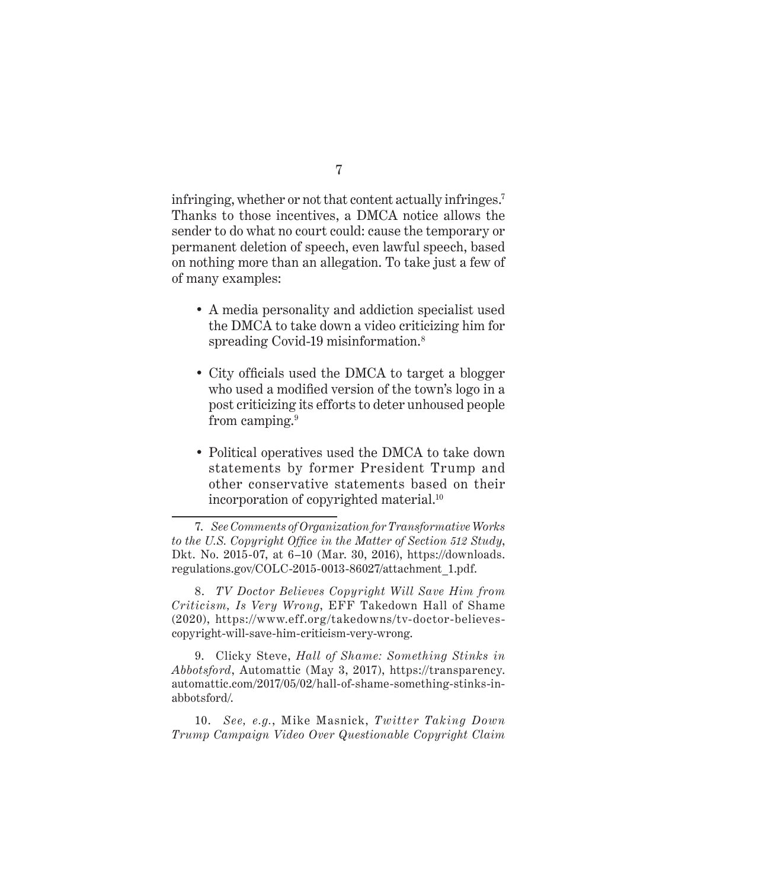infringing, whether or not that content actually infringes.<sup>7</sup> Thanks to those incentives, a DMCA notice allows the sender to do what no court could: cause the temporary or permanent deletion of speech, even lawful speech, based on nothing more than an allegation. To take just a few of of many examples:

- A media personality and addiction specialist used the DMCA to take down a video criticizing him for spreading Covid-19 misinformation.<sup>8</sup>
- City officials used the DMCA to target a blogger who used a modified version of the town's logo in a post criticizing its efforts to deter unhoused people from camping.<sup>9</sup>
- Political operatives used the DMCA to take down statements by former President Trump and other conservative statements based on their incorporation of copyrighted material.<sup>10</sup>

8. *TV Doctor Believes Copyright Will Save Him from Criticism, Is Very Wrong*, EFF Takedown Hall of Shame (2020), https://www.eff.org/takedowns/tv-doctor-believescopyright-will-save-him-criticism-very-wrong.

9. Clicky Steve, *Hall of Shame: Something Stinks in Abbotsford*, Automattic (May 3, 2017), https://transparency. automattic.com/2017/05/02/hall-of-shame-something-stinks-inabbotsford/.

10. *See, e.g.*, Mike Masnick, *Twitter Taking Down Trump Campaign Video Over Questionable Copyright Claim* 

<sup>7.</sup> *See Comments of Organization for Transformative Works to the U.S. Copyright Office in the Matter of Section 512 Study*, Dkt. No. 2015-07, at 6–10 (Mar. 30, 2016), https://downloads. regulations.gov/COLC-2015-0013-86027/attachment\_1.pdf.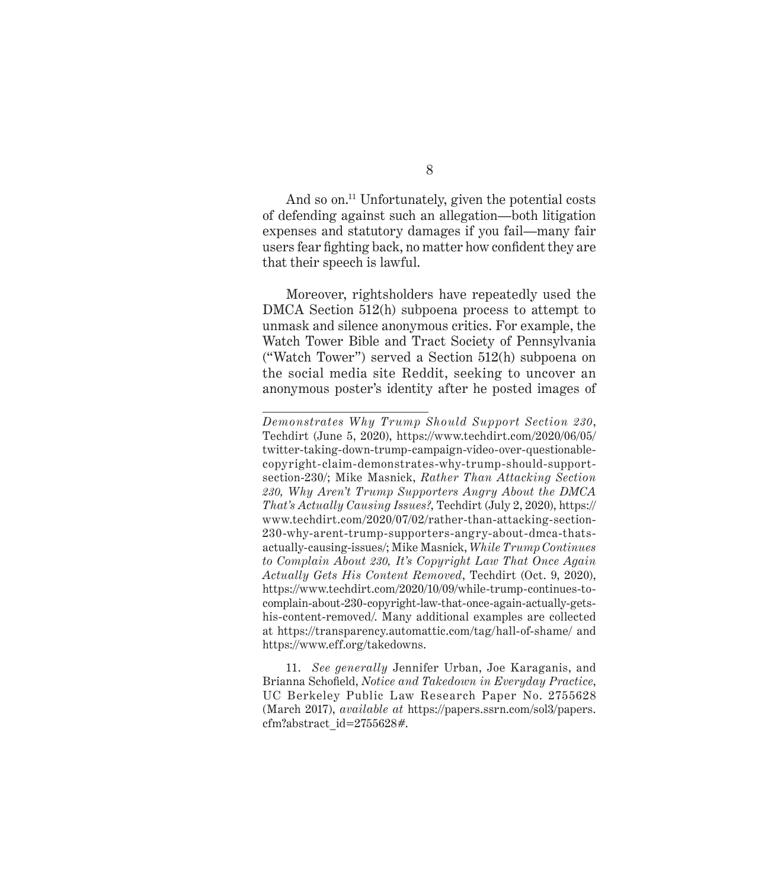And so on.<sup>11</sup> Unfortunately, given the potential costs of defending against such an allegation—both litigation expenses and statutory damages if you fail—many fair users fear fighting back, no matter how confident they are that their speech is lawful.

Moreover, rightsholders have repeatedly used the DMCA Section 512(h) subpoena process to attempt to unmask and silence anonymous critics. For example, the Watch Tower Bible and Tract Society of Pennsylvania ("Watch Tower") served a Section 512(h) subpoena on the social media site Reddit, seeking to uncover an anonymous poster's identity after he posted images of

*Demonstrates Why Trump Should Support Section 230*, Techdirt (June 5, 2020), https://www.techdirt.com/2020/06/05/ twitter-taking-down-trump-campaign-video-over-questionablecopyright-claim-demonstrates-why-trump-should-supportsection-230/; Mike Masnick, *Rather Than Attacking Section 230, Why Aren't Trump Supporters Angry About the DMCA That's Actually Causing Issues?*, Techdirt (July 2, 2020), https:// www.techdirt.com/2020/07/02/rather-than-attacking-section-230-why-arent-trump-supporters-angry-about-dmca-thatsactually-causing-issues/; Mike Masnick, *While Trump Continues to Complain About 230, It's Copyright Law That Once Again Actually Gets His Content Removed*, Techdirt (Oct. 9, 2020), https://www.techdirt.com/2020/10/09/while-trump-continues-tocomplain-about-230-copyright-law-that-once-again-actually-getshis-content-removed/. Many additional examples are collected at https://transparency.automattic.com/tag/hall-of-shame/ and https://www.eff.org/takedowns.

<sup>11.</sup> *See generally* Jennifer Urban, Joe Karaganis, and Brianna Schofield, *Notice and Takedown in Everyday Practice*, UC Berkeley Public Law Research Paper No. 2755628 (March 2017), *available at* https://papers.ssrn.com/sol3/papers. cfm?abstract\_id=2755628#.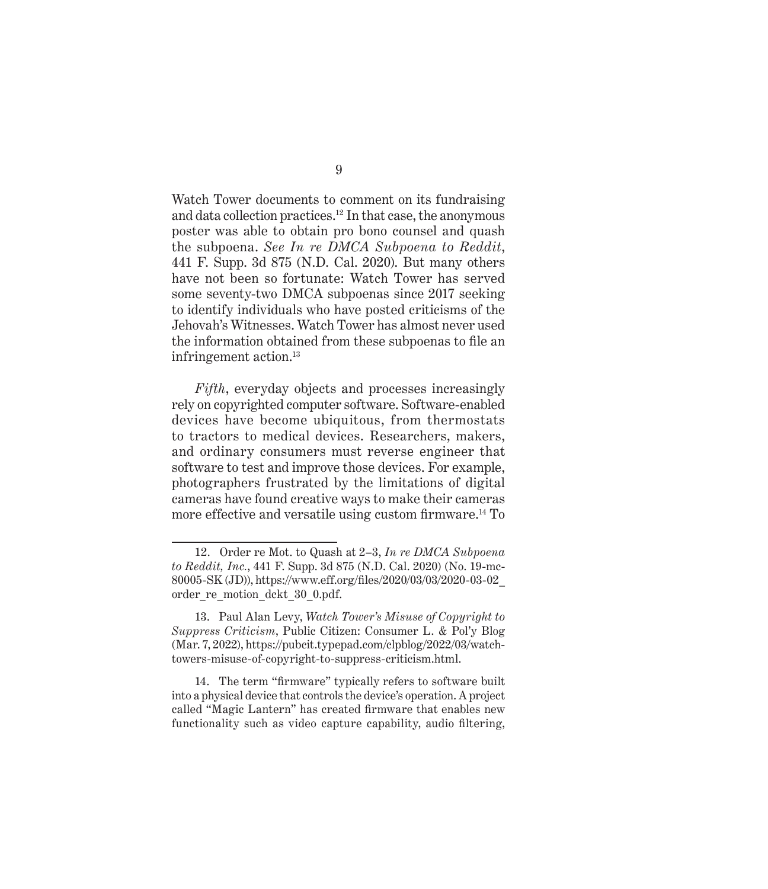Watch Tower documents to comment on its fundraising and data collection practices.12 In that case, the anonymous poster was able to obtain pro bono counsel and quash the subpoena. *See In re DMCA Subpoena to Reddit*, 441 F. Supp. 3d 875 (N.D. Cal. 2020). But many others have not been so fortunate: Watch Tower has served some seventy-two DMCA subpoenas since 2017 seeking to identify individuals who have posted criticisms of the Jehovah's Witnesses. Watch Tower has almost never used the information obtained from these subpoenas to file an infringement action.<sup>13</sup>

*Fifth*, everyday objects and processes increasingly rely on copyrighted computer software. Software-enabled devices have become ubiquitous, from thermostats to tractors to medical devices. Researchers, makers, and ordinary consumers must reverse engineer that software to test and improve those devices. For example, photographers frustrated by the limitations of digital cameras have found creative ways to make their cameras more effective and versatile using custom firmware.<sup>14</sup> To

14. The term "firmware" typically refers to software built into a physical device that controls the device's operation. A project called "Magic Lantern" has created firmware that enables new functionality such as video capture capability, audio filtering,

<sup>12.</sup> Order re Mot. to Quash at 2–3, *In re DMCA Subpoena to Reddit, Inc.*, 441 F. Supp. 3d 875 (N.D. Cal. 2020) (No. 19-mc-80005-SK (JD)), https://www.eff.org/files/2020/03/03/2020-03-02\_ order re\_motion\_dckt\_30\_0.pdf.

<sup>13.</sup> Paul Alan Levy, *Watch Tower's Misuse of Copyright to Suppress Criticism*, Public Citizen: Consumer L. & Pol'y Blog (Mar. 7, 2022), https://pubcit.typepad.com/clpblog/2022/03/watchtowers-misuse-of-copyright-to-suppress-criticism.html.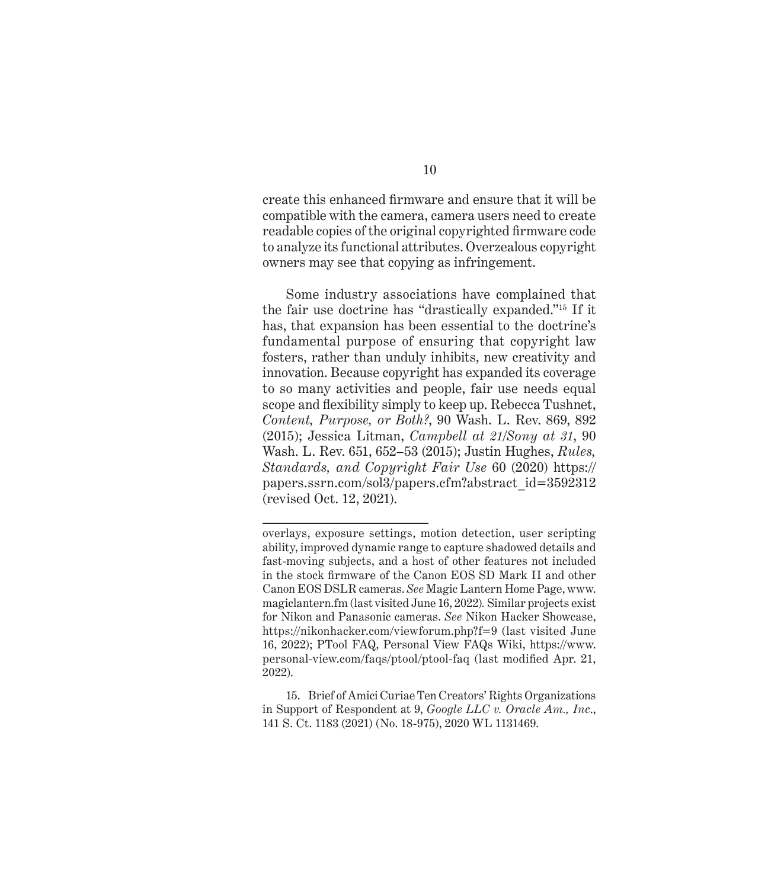create this enhanced firmware and ensure that it will be compatible with the camera, camera users need to create readable copies of the original copyrighted firmware code to analyze its functional attributes. Overzealous copyright owners may see that copying as infringement.

Some industry associations have complained that the fair use doctrine has "drastically expanded."15 If it has, that expansion has been essential to the doctrine's fundamental purpose of ensuring that copyright law fosters, rather than unduly inhibits, new creativity and innovation. Because copyright has expanded its coverage to so many activities and people, fair use needs equal scope and flexibility simply to keep up. Rebecca Tushnet, *Content, Purpose, or Both?*, 90 Wash. L. Rev. 869, 892 (2015); Jessica Litman, *Campbell at 21/Sony at 31*, 90 Wash. L. Rev. 651, 652–53 (2015); Justin Hughes, *Rules, Standards, and Copyright Fair Use* 60 (2020) https:// papers.ssrn.com/sol3/papers.cfm?abstract\_id=3592312 (revised Oct. 12, 2021).

overlays, exposure settings, motion detection, user scripting ability, improved dynamic range to capture shadowed details and fast-moving subjects, and a host of other features not included in the stock firmware of the Canon EOS SD Mark II and other Canon EOS DSLR cameras. *See* Magic Lantern Home Page, www. magiclantern.fm (last visited June 16, 2022)*.* Similar projects exist for Nikon and Panasonic cameras. *See* Nikon Hacker Showcase, https://nikonhacker.com/viewforum.php?f=9 (last visited June 16, 2022); PTool FAQ, Personal View FAQs Wiki, https://www. personal-view.com/faqs/ptool/ptool-faq (last modified Apr. 21, 2022).

<sup>15.</sup> Brief of Amici Curiae Ten Creators' Rights Organizations in Support of Respondent at 9, *Google LLC v. Oracle Am., Inc*., 141 S. Ct. 1183 (2021) (No. 18-975), 2020 WL 1131469.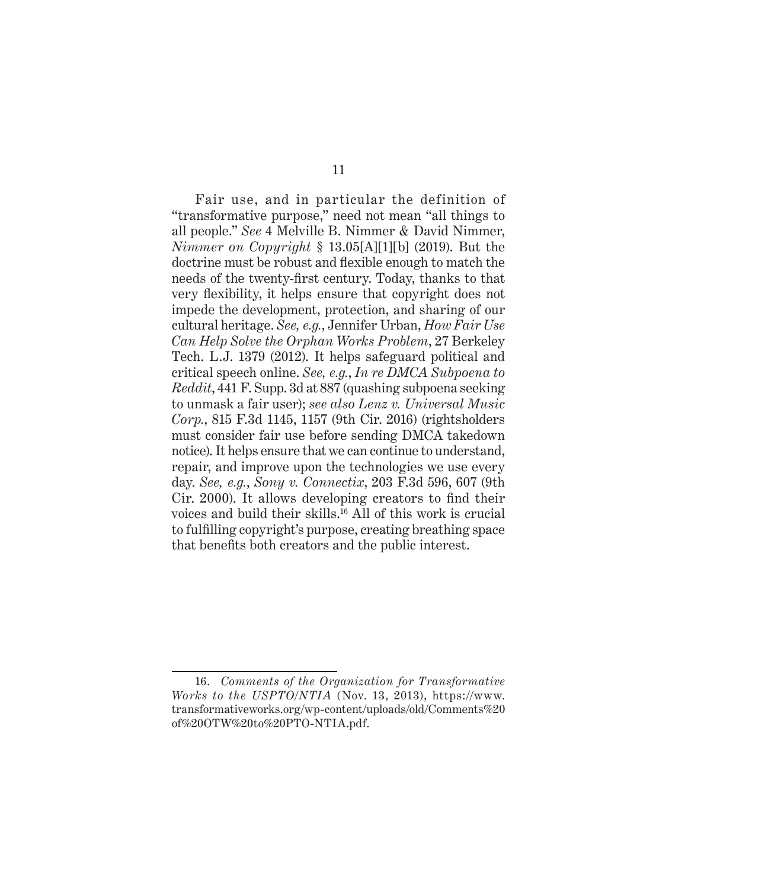Fair use, and in particular the definition of "transformative purpose," need not mean "all things to all people." *See* 4 Melville B. Nimmer & David Nimmer, *Nimmer on Copyright* § 13.05[A][1][b] (2019). But the doctrine must be robust and flexible enough to match the needs of the twenty-first century. Today, thanks to that very flexibility, it helps ensure that copyright does not impede the development, protection, and sharing of our cultural heritage. *See, e.g.*, Jennifer Urban, *How Fair Use Can Help Solve the Orphan Works Problem*, 27 Berkeley Tech. L.J. 1379 (2012). It helps safeguard political and critical speech online. *See, e.g.*, *In re DMCA Subpoena to Reddit*, 441 F. Supp. 3d at 887 (quashing subpoena seeking to unmask a fair user); *see also Lenz v. Universal Music Corp.*, 815 F.3d 1145, 1157 (9th Cir. 2016) (rightsholders must consider fair use before sending DMCA takedown notice). It helps ensure that we can continue to understand, repair, and improve upon the technologies we use every day. *See, e.g.*, *Sony v. Connectix*, 203 F.3d 596, 607 (9th Cir. 2000). It allows developing creators to find their voices and build their skills.<sup>16</sup> All of this work is crucial to fulfilling copyright's purpose, creating breathing space that benefits both creators and the public interest.

<sup>16.</sup> *Comments of the Organization for Transformative Works to the USPTO/NTIA* (Nov. 13, 2013), https://www. transformativeworks.org/wp-content/uploads/old/Comments%20 of%20OTW%20to%20PTO-NTIA.pdf.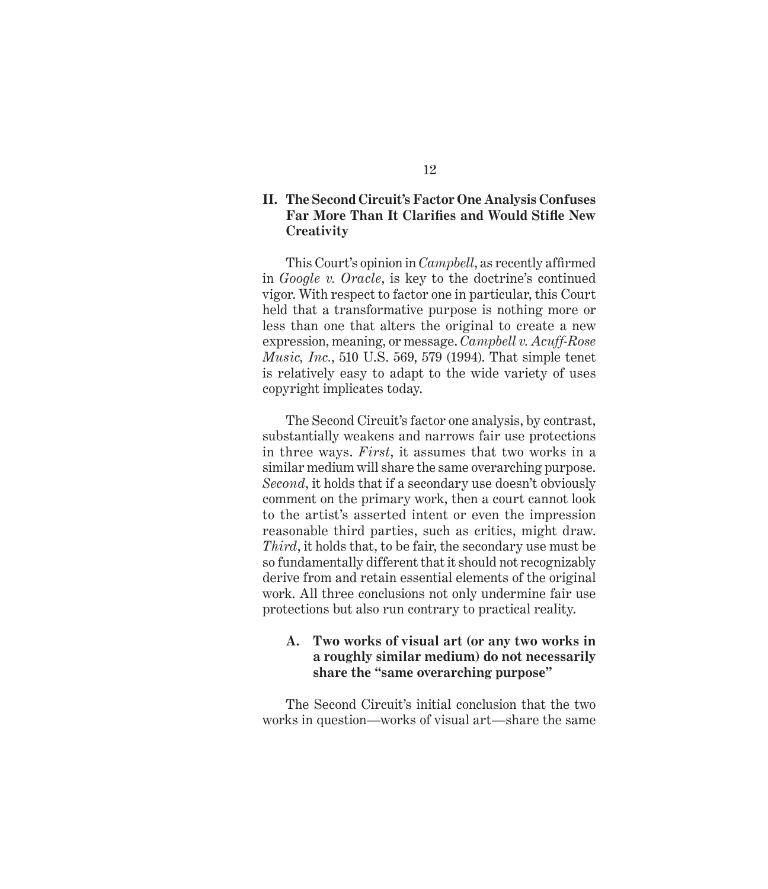### **II. The Second Circuit's Factor One Analysis Confuses Far More Than It Clarifies and Would Stifle New Creativity**

This Court's opinion in *Campbell*, as recently affirmed in *Google v. Oracle*, is key to the doctrine's continued vigor. With respect to factor one in particular, this Court held that a transformative purpose is nothing more or less than one that alters the original to create a new expression, meaning, or message. *Campbell v. Acuff-Rose Music, Inc.*, 510 U.S. 569, 579 (1994). That simple tenet is relatively easy to adapt to the wide variety of uses copyright implicates today.

The Second Circuit's factor one analysis, by contrast, substantially weakens and narrows fair use protections in three ways. *First*, it assumes that two works in a similar medium will share the same overarching purpose. *Second*, it holds that if a secondary use doesn't obviously comment on the primary work, then a court cannot look to the artist's asserted intent or even the impression reasonable third parties, such as critics, might draw. *Third*, it holds that, to be fair, the secondary use must be so fundamentally different that it should not recognizably derive from and retain essential elements of the original work. All three conclusions not only undermine fair use protections but also run contrary to practical reality.

### **A. Two works of visual art (or any two works in a roughly similar medium) do not necessarily share the "same overarching purpose"**

The Second Circuit's initial conclusion that the two works in question—works of visual art—share the same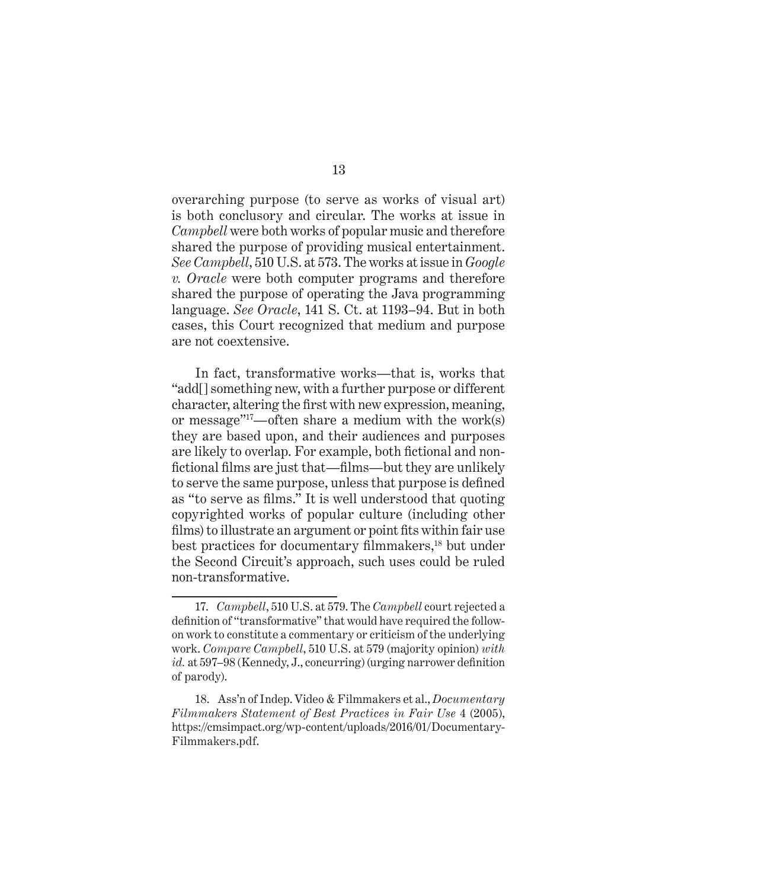overarching purpose (to serve as works of visual art) is both conclusory and circular. The works at issue in *Campbell* were both works of popular music and therefore shared the purpose of providing musical entertainment. *See Campbell*, 510 U.S. at 573. The works at issue in *Google v. Oracle* were both computer programs and therefore shared the purpose of operating the Java programming language. *See Oracle*, 141 S. Ct. at 1193–94. But in both cases, this Court recognized that medium and purpose are not coextensive.

In fact, transformative works—that is, works that "add[] something new, with a further purpose or different character, altering the first with new expression, meaning, or message"<sup>17</sup>—often share a medium with the work(s) they are based upon, and their audiences and purposes are likely to overlap. For example, both fictional and nonfictional films are just that—films—but they are unlikely to serve the same purpose, unless that purpose is defined as "to serve as films." It is well understood that quoting copyrighted works of popular culture (including other films) to illustrate an argument or point fits within fair use best practices for documentary filmmakers,<sup>18</sup> but under the Second Circuit's approach, such uses could be ruled non-transformative.

<sup>17.</sup> *Campbell*, 510 U.S. at 579. The *Campbell* court rejected a definition of "transformative" that would have required the followon work to constitute a commentary or criticism of the underlying work. *Compare Campbell*, 510 U.S. at 579 (majority opinion) *with id.* at 597–98 (Kennedy, J., concurring) (urging narrower definition of parody).

<sup>18.</sup> Ass'n of Indep. Video & Filmmakers et al., *Documentary Filmmakers Statement of Best Practices in Fair Use* 4 (2005), https://cmsimpact.org/wp-content/uploads/2016/01/Documentary-Filmmakers.pdf.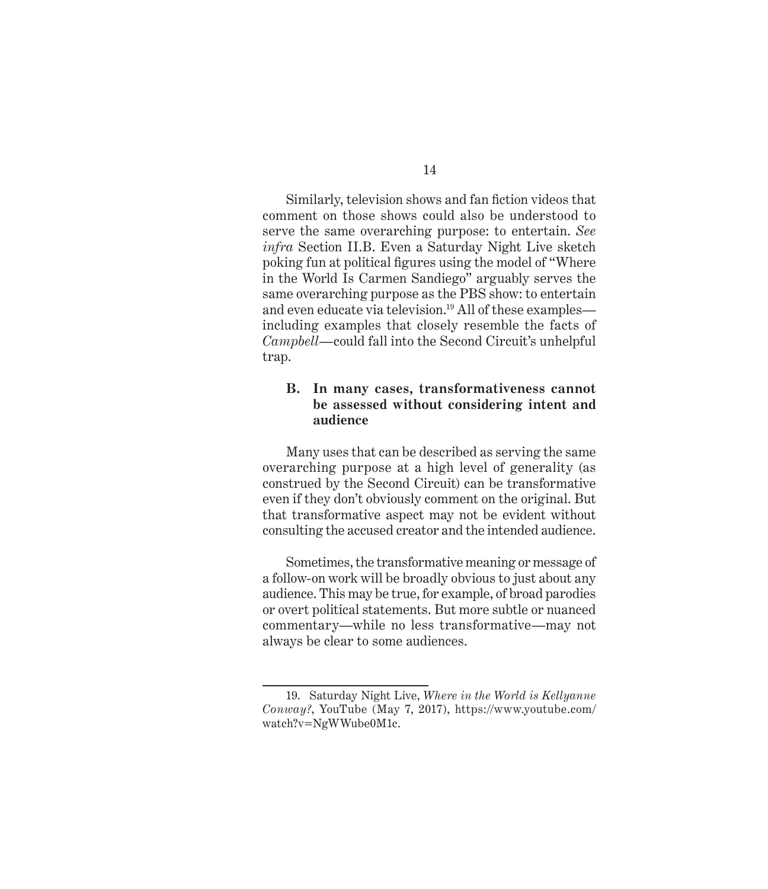Similarly, television shows and fan fiction videos that comment on those shows could also be understood to serve the same overarching purpose: to entertain. *See infra* Section II.B. Even a Saturday Night Live sketch poking fun at political figures using the model of "Where in the World Is Carmen Sandiego" arguably serves the same overarching purpose as the PBS show: to entertain and even educate via television.<sup>19</sup> All of these examples including examples that closely resemble the facts of *Campbell*—could fall into the Second Circuit's unhelpful trap.

### **B. In many cases, transformativeness cannot be assessed without considering intent and audience**

Many uses that can be described as serving the same overarching purpose at a high level of generality (as construed by the Second Circuit) can be transformative even if they don't obviously comment on the original. But that transformative aspect may not be evident without consulting the accused creator and the intended audience.

Sometimes, the transformative meaning or message of a follow-on work will be broadly obvious to just about any audience. This may be true, for example, of broad parodies or overt political statements. But more subtle or nuanced commentary—while no less transformative—may not always be clear to some audiences.

<sup>19.</sup> Saturday Night Live, *Where in the World is Kellyanne Conway?*, YouTube (May 7, 2017), https://www.youtube.com/ watch?v=NgWWube0M1c.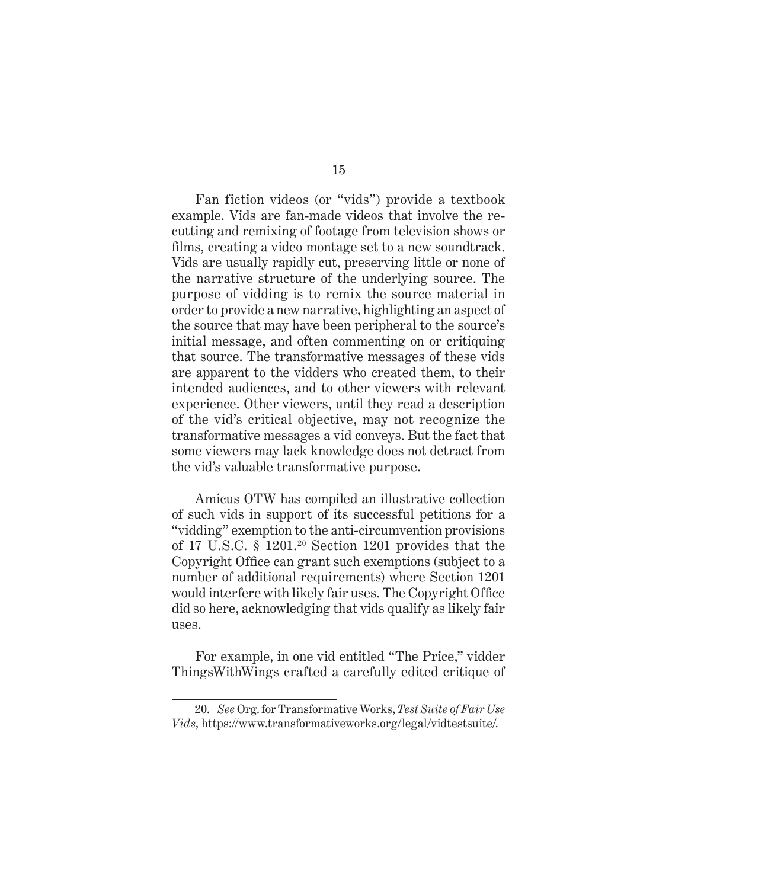Fan fiction videos (or "vids") provide a textbook example. Vids are fan-made videos that involve the recutting and remixing of footage from television shows or films, creating a video montage set to a new soundtrack. Vids are usually rapidly cut, preserving little or none of the narrative structure of the underlying source. The purpose of vidding is to remix the source material in order to provide a new narrative, highlighting an aspect of the source that may have been peripheral to the source's initial message, and often commenting on or critiquing that source. The transformative messages of these vids are apparent to the vidders who created them, to their intended audiences, and to other viewers with relevant experience. Other viewers, until they read a description of the vid's critical objective, may not recognize the transformative messages a vid conveys. But the fact that some viewers may lack knowledge does not detract from the vid's valuable transformative purpose.

Amicus OTW has compiled an illustrative collection of such vids in support of its successful petitions for a "vidding" exemption to the anti-circumvention provisions of 17 U.S.C. § 1201.<sup>20</sup> Section 1201 provides that the Copyright Office can grant such exemptions (subject to a number of additional requirements) where Section 1201 would interfere with likely fair uses. The Copyright Office did so here, acknowledging that vids qualify as likely fair uses.

For example, in one vid entitled "The Price," vidder ThingsWithWings crafted a carefully edited critique of

<sup>20.</sup> *See* Org. for Transformative Works, *Test Suite of Fair Use Vids*, https://www.transformativeworks.org/legal/vidtestsuite/.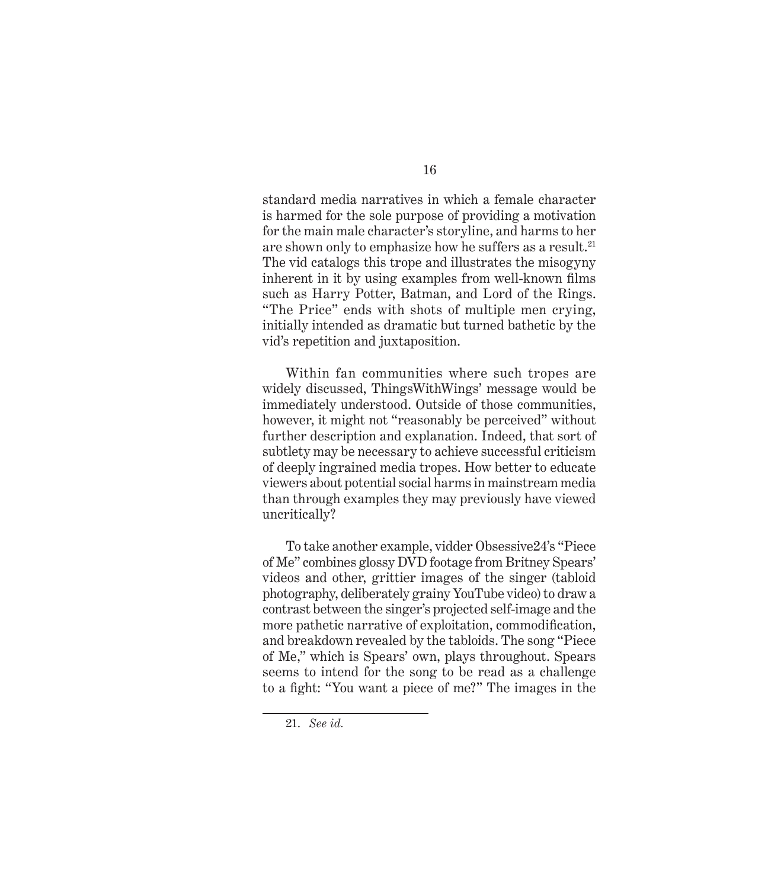standard media narratives in which a female character is harmed for the sole purpose of providing a motivation for the main male character's storyline, and harms to her are shown only to emphasize how he suffers as a result.<sup>21</sup> The vid catalogs this trope and illustrates the misogyny inherent in it by using examples from well-known films such as Harry Potter, Batman, and Lord of the Rings. "The Price" ends with shots of multiple men crying, initially intended as dramatic but turned bathetic by the vid's repetition and juxtaposition.

Within fan communities where such tropes are widely discussed, ThingsWithWings' message would be immediately understood. Outside of those communities, however, it might not "reasonably be perceived" without further description and explanation. Indeed, that sort of subtlety may be necessary to achieve successful criticism of deeply ingrained media tropes. How better to educate viewers about potential social harms in mainstream media than through examples they may previously have viewed uncritically?

To take another example, vidder Obsessive24's "Piece of Me" combines glossy DVD footage from Britney Spears' videos and other, grittier images of the singer (tabloid photography, deliberately grainy YouTube video) to draw a contrast between the singer's projected self-image and the more pathetic narrative of exploitation, commodification, and breakdown revealed by the tabloids. The song "Piece of Me," which is Spears' own, plays throughout. Spears seems to intend for the song to be read as a challenge to a fight: "You want a piece of me?" The images in the

<sup>21.</sup> *See id.*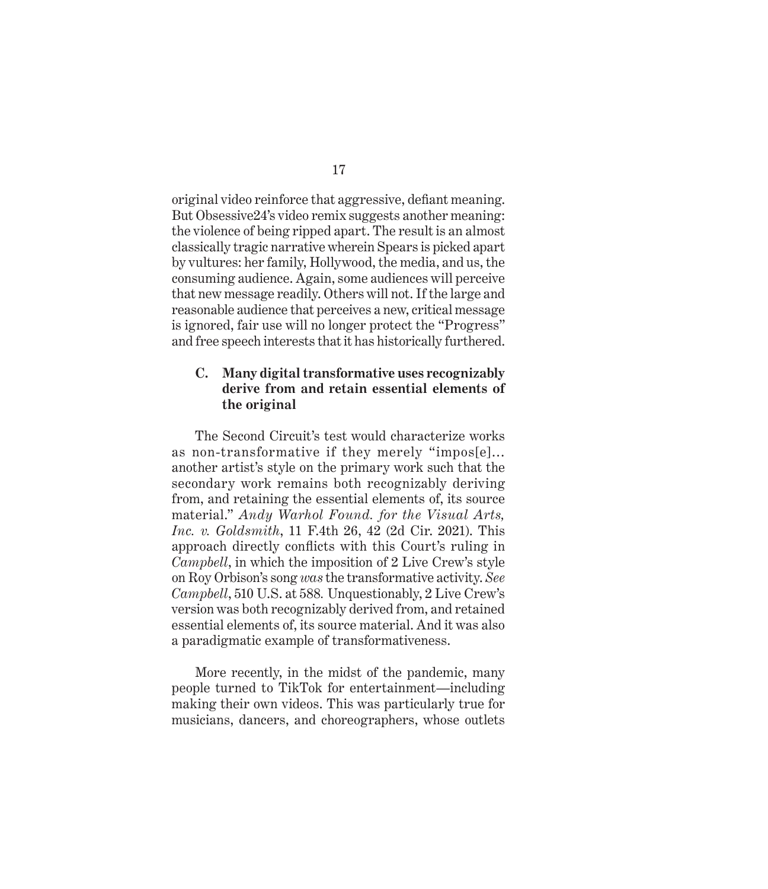original video reinforce that aggressive, defiant meaning. But Obsessive24's video remix suggests another meaning: the violence of being ripped apart. The result is an almost classically tragic narrative wherein Spears is picked apart by vultures: her family, Hollywood, the media, and us, the consuming audience. Again, some audiences will perceive that new message readily. Others will not. If the large and reasonable audience that perceives a new, critical message is ignored, fair use will no longer protect the "Progress" and free speech interests that it has historically furthered.

### **C. Many digital transformative uses recognizably derive from and retain essential elements of the original**

The Second Circuit's test would characterize works as non-transformative if they merely "impos[e]… another artist's style on the primary work such that the secondary work remains both recognizably deriving from, and retaining the essential elements of, its source material." *Andy Warhol Found. for the Visual Arts, Inc. v. Goldsmith*, 11 F.4th 26, 42 (2d Cir. 2021). This approach directly conflicts with this Court's ruling in *Campbell*, in which the imposition of 2 Live Crew's style on Roy Orbison's song *was* the transformative activity. *See Campbell*, 510 U.S. at 588*.* Unquestionably, 2 Live Crew's version was both recognizably derived from, and retained essential elements of, its source material. And it was also a paradigmatic example of transformativeness.

More recently, in the midst of the pandemic, many people turned to TikTok for entertainment—including making their own videos. This was particularly true for musicians, dancers, and choreographers, whose outlets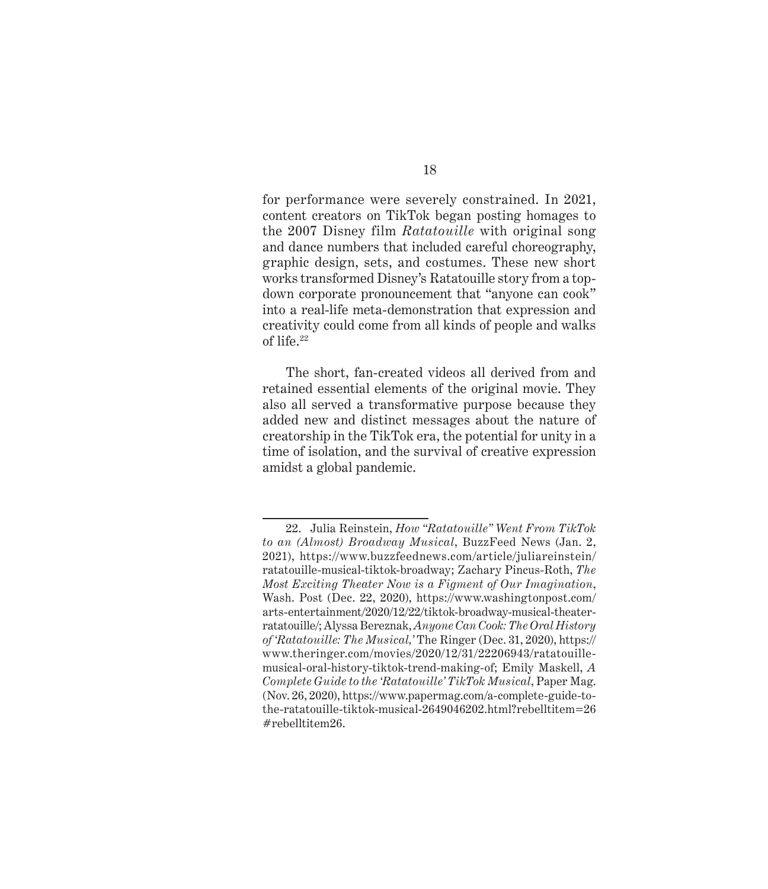for performance were severely constrained. In 2021, content creators on TikTok began posting homages to the 2007 Disney film *Ratatouille* with original song and dance numbers that included careful choreography, graphic design, sets, and costumes. These new short works transformed Disney's Ratatouille story from a topdown corporate pronouncement that "anyone can cook" into a real-life meta-demonstration that expression and creativity could come from all kinds of people and walks of life.<sup>22</sup>

The short, fan-created videos all derived from and retained essential elements of the original movie. They also all served a transformative purpose because they added new and distinct messages about the nature of creatorship in the TikTok era, the potential for unity in a time of isolation, and the survival of creative expression amidst a global pandemic.

<sup>22.</sup> Julia Reinstein, *How "Ratatouille" Went From TikTok to an (Almost) Broadway Musical*, BuzzFeed News (Jan. 2, 2021), https://www.buzzfeednews.com/article/juliareinstein/ ratatouille-musical-tiktok-broadway; Zachary Pincus-Roth, *The Most Exciting Theater Now is a Figment of Our Imagination*, Wash. Post (Dec. 22, 2020), https://www.washingtonpost.com/ arts-entertainment/2020/12/22/tiktok-broadway-musical-theaterratatouille/; Alyssa Bereznak, *Anyone Can Cook: The Oral History of 'Ratatouille: The Musical,'* The Ringer (Dec. 31, 2020), https:// www.theringer.com/movies/2020/12/31/22206943/ratatouillemusical-oral-history-tiktok-trend-making-of; Emily Maskell, *A Complete Guide to the 'Ratatouille' TikTok Musical*, Paper Mag. (Nov. 26, 2020), https://www.papermag.com/a-complete-guide-tothe-ratatouille-tiktok-musical-2649046202.html?rebelltitem=26 #rebelltitem26.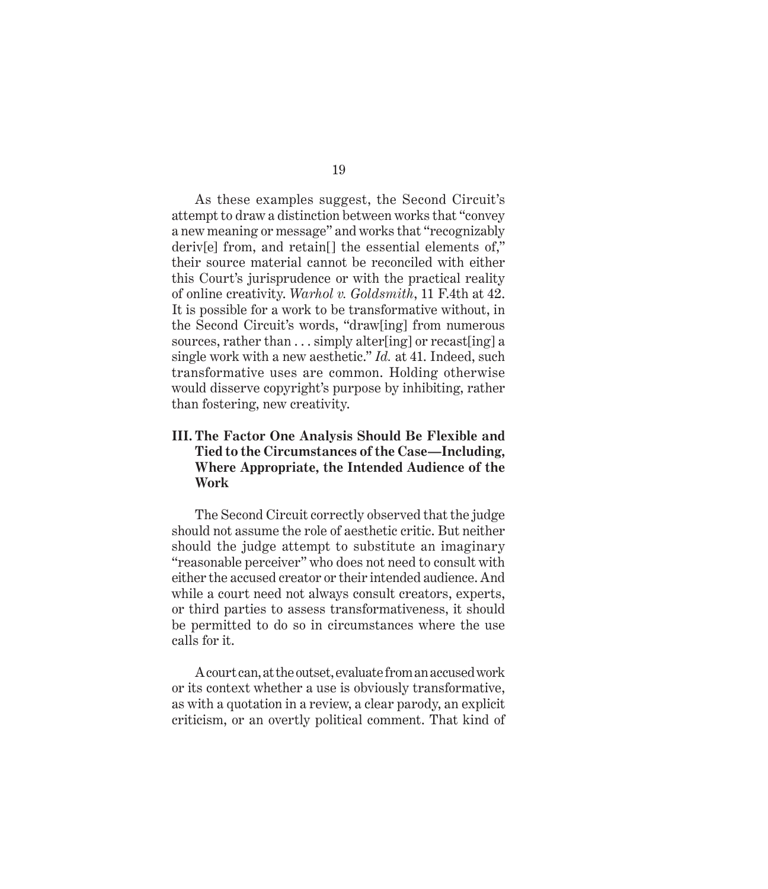As these examples suggest, the Second Circuit's attempt to draw a distinction between works that "convey a new meaning or message" and works that "recognizably deriv[e] from, and retain[] the essential elements of," their source material cannot be reconciled with either this Court's jurisprudence or with the practical reality of online creativity. *Warhol v. Goldsmith*, 11 F.4th at 42. It is possible for a work to be transformative without, in the Second Circuit's words, "draw[ing] from numerous sources, rather than ... simply alter [ing] or recast [ing] a single work with a new aesthetic." *Id.* at 41. Indeed, such transformative uses are common. Holding otherwise would disserve copyright's purpose by inhibiting, rather than fostering, new creativity.

### **III. The Factor One Analysis Should Be Flexible and Tied to the Circumstances of the Case—Including, Where Appropriate, the Intended Audience of the Work**

The Second Circuit correctly observed that the judge should not assume the role of aesthetic critic. But neither should the judge attempt to substitute an imaginary "reasonable perceiver" who does not need to consult with either the accused creator or their intended audience. And while a court need not always consult creators, experts, or third parties to assess transformativeness, it should be permitted to do so in circumstances where the use calls for it.

A court can, at the outset, evaluate from an accused work or its context whether a use is obviously transformative, as with a quotation in a review, a clear parody, an explicit criticism, or an overtly political comment. That kind of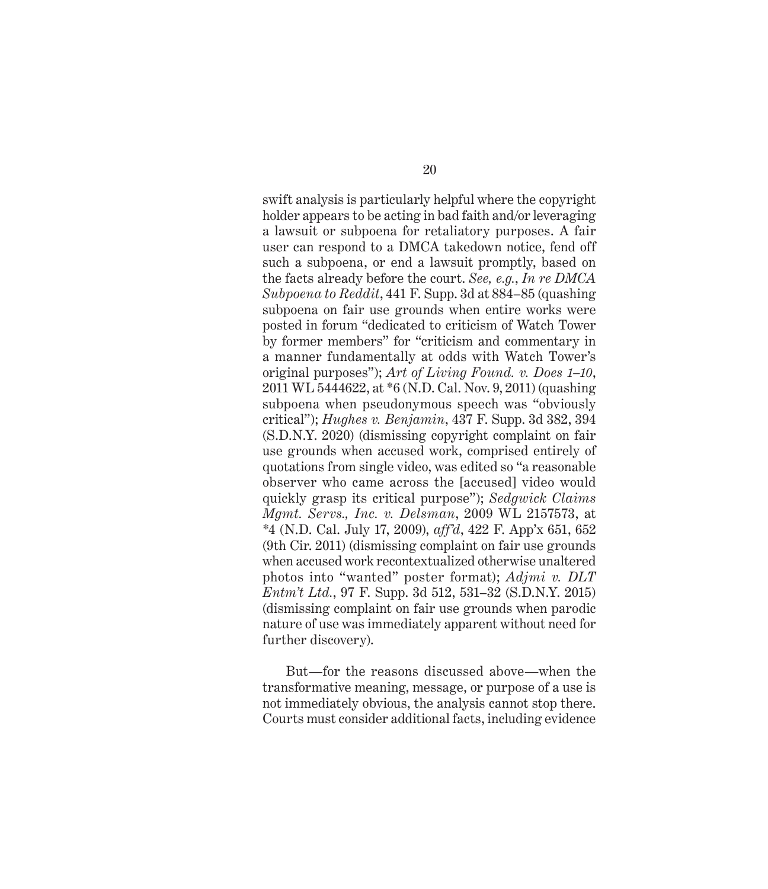swift analysis is particularly helpful where the copyright holder appears to be acting in bad faith and/or leveraging a lawsuit or subpoena for retaliatory purposes. A fair user can respond to a DMCA takedown notice, fend off such a subpoena, or end a lawsuit promptly, based on the facts already before the court. *See, e.g.*, *In re DMCA Subpoena to Reddit*, 441 F. Supp. 3d at 884–85 (quashing subpoena on fair use grounds when entire works were posted in forum "dedicated to criticism of Watch Tower by former members" for "criticism and commentary in a manner fundamentally at odds with Watch Tower's original purposes"); *Art of Living Found. v. Does 1–10*, 2011 WL 5444622, at \*6 (N.D. Cal. Nov. 9, 2011) (quashing subpoena when pseudonymous speech was "obviously critical"); *Hughes v. Benjamin*, 437 F. Supp. 3d 382, 394 (S.D.N.Y. 2020) (dismissing copyright complaint on fair use grounds when accused work, comprised entirely of quotations from single video, was edited so "a reasonable observer who came across the [accused] video would quickly grasp its critical purpose"); *Sedgwick Claims Mgmt. Servs., Inc. v. Delsman*, 2009 WL 2157573, at \*4 (N.D. Cal. July 17, 2009), *aff'd*, 422 F. App'x 651, 652 (9th Cir. 2011) (dismissing complaint on fair use grounds when accused work recontextualized otherwise unaltered photos into "wanted" poster format); *Adjmi v. DLT Entm't Ltd.*, 97 F. Supp. 3d 512, 531–32 (S.D.N.Y. 2015) (dismissing complaint on fair use grounds when parodic nature of use was immediately apparent without need for further discovery).

But—for the reasons discussed above—when the transformative meaning, message, or purpose of a use is not immediately obvious, the analysis cannot stop there. Courts must consider additional facts, including evidence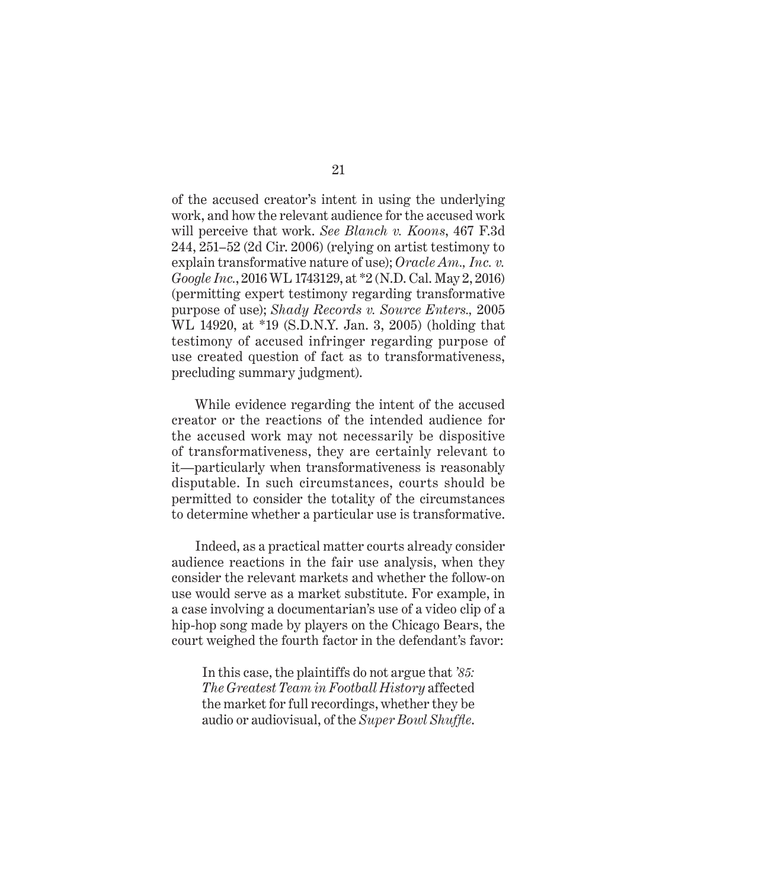of the accused creator's intent in using the underlying work, and how the relevant audience for the accused work will perceive that work. *See Blanch v. Koons*, 467 F.3d 244, 251–52 (2d Cir. 2006) (relying on artist testimony to explain transformative nature of use); *Oracle Am., Inc. v. Google Inc.*, 2016 WL 1743129, at \*2 (N.D. Cal. May 2, 2016) (permitting expert testimony regarding transformative purpose of use); *Shady Records v. Source Enters.,* 2005 WL 14920, at \*19 (S.D.N.Y. Jan. 3, 2005) (holding that testimony of accused infringer regarding purpose of use created question of fact as to transformativeness, precluding summary judgment).

While evidence regarding the intent of the accused creator or the reactions of the intended audience for the accused work may not necessarily be dispositive of transformativeness, they are certainly relevant to it—particularly when transformativeness is reasonably disputable. In such circumstances, courts should be permitted to consider the totality of the circumstances to determine whether a particular use is transformative.

Indeed, as a practical matter courts already consider audience reactions in the fair use analysis, when they consider the relevant markets and whether the follow-on use would serve as a market substitute. For example, in a case involving a documentarian's use of a video clip of a hip-hop song made by players on the Chicago Bears, the court weighed the fourth factor in the defendant's favor:

In this case, the plaintiffs do not argue that *'85: The Greatest Team in Football History* affected the market for full recordings, whether they be audio or audiovisual, of the *Super Bowl Shuffle*.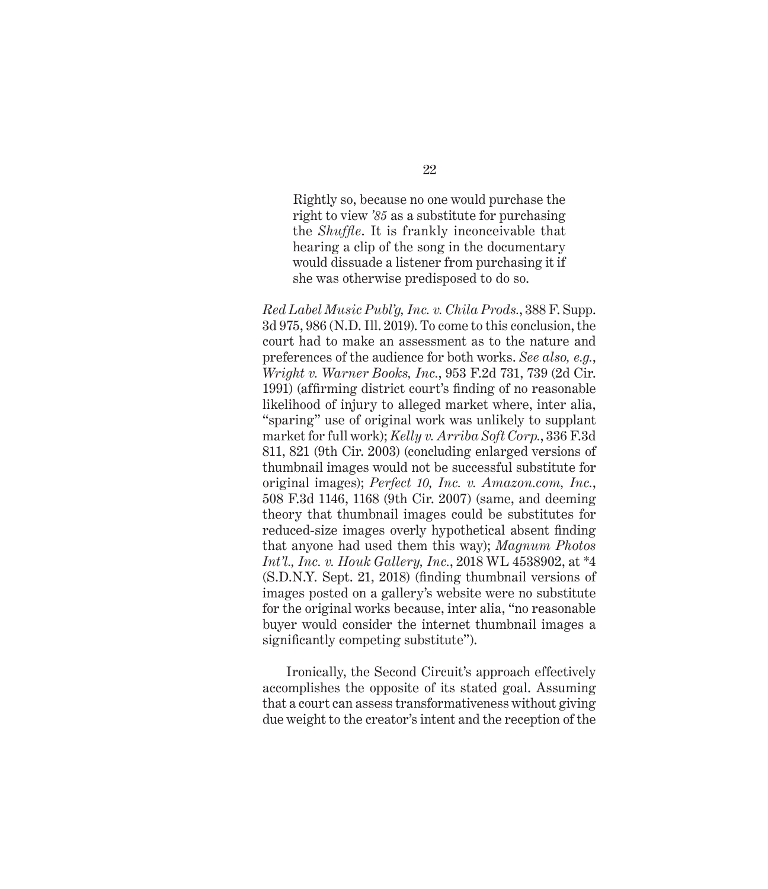Rightly so, because no one would purchase the right to view *'85* as a substitute for purchasing the *Shuffle*. It is frankly inconceivable that hearing a clip of the song in the documentary would dissuade a listener from purchasing it if she was otherwise predisposed to do so.

*Red Label Music Publ'g, Inc. v. Chila Prods.*, 388 F. Supp. 3d 975, 986 (N.D. Ill. 2019). To come to this conclusion, the court had to make an assessment as to the nature and preferences of the audience for both works. *See also, e.g.*, *Wright v. Warner Books, Inc.*, 953 F.2d 731, 739 (2d Cir. 1991) (affirming district court's finding of no reasonable likelihood of injury to alleged market where, inter alia, "sparing" use of original work was unlikely to supplant market for full work); *Kelly v. Arriba Soft Corp.*, 336 F.3d 811, 821 (9th Cir. 2003) (concluding enlarged versions of thumbnail images would not be successful substitute for original images); *Perfect 10, Inc. v. Amazon.com, Inc.*, 508 F.3d 1146, 1168 (9th Cir. 2007) (same, and deeming theory that thumbnail images could be substitutes for reduced-size images overly hypothetical absent finding that anyone had used them this way); *Magnum Photos Int'l., Inc. v. Houk Gallery, Inc.*, 2018 WL 4538902, at \*4 (S.D.N.Y. Sept. 21, 2018) (finding thumbnail versions of images posted on a gallery's website were no substitute for the original works because, inter alia, "no reasonable buyer would consider the internet thumbnail images a significantly competing substitute").

Ironically, the Second Circuit's approach effectively accomplishes the opposite of its stated goal. Assuming that a court can assess transformativeness without giving due weight to the creator's intent and the reception of the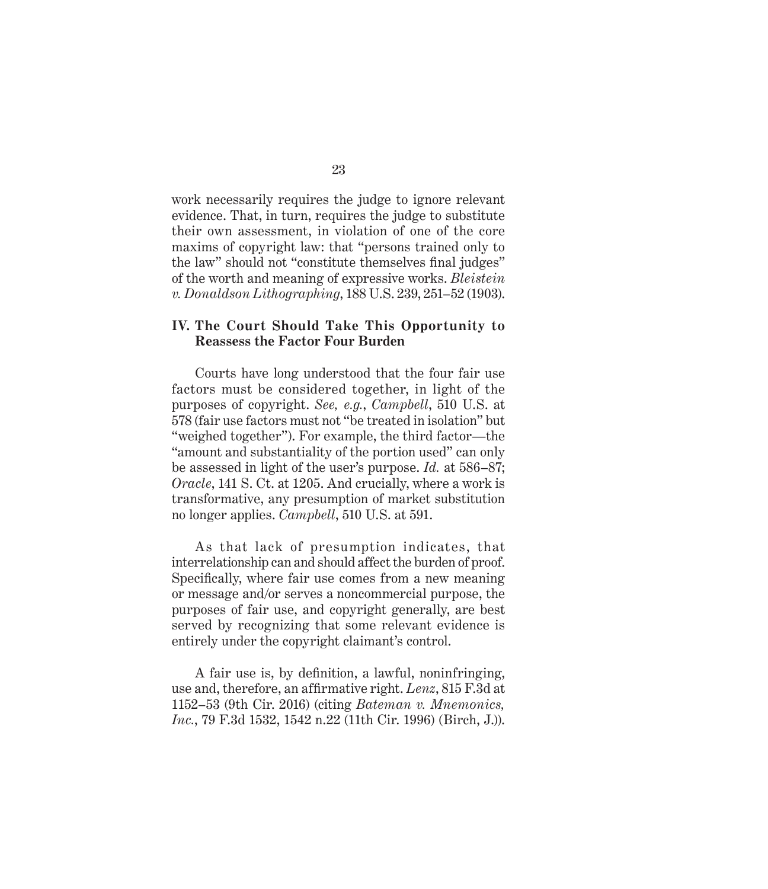work necessarily requires the judge to ignore relevant evidence. That, in turn, requires the judge to substitute their own assessment, in violation of one of the core maxims of copyright law: that "persons trained only to the law" should not "constitute themselves final judges" of the worth and meaning of expressive works. *Bleistein v. Donaldson Lithographing*, 188 U.S. 239, 251–52 (1903).

### **IV. The Court Should Take This Opportunity to Reassess the Factor Four Burden**

Courts have long understood that the four fair use factors must be considered together, in light of the purposes of copyright. *See, e.g.*, *Campbell*, 510 U.S. at 578 (fair use factors must not "be treated in isolation" but "weighed together"). For example, the third factor—the "amount and substantiality of the portion used" can only be assessed in light of the user's purpose. *Id.* at 586–87; *Oracle*, 141 S. Ct. at 1205. And crucially, where a work is transformative, any presumption of market substitution no longer applies. *Campbell*, 510 U.S. at 591.

As that lack of presumption indicates, that interrelationship can and should affect the burden of proof. Specifically, where fair use comes from a new meaning or message and/or serves a noncommercial purpose, the purposes of fair use, and copyright generally, are best served by recognizing that some relevant evidence is entirely under the copyright claimant's control.

A fair use is, by definition, a lawful, noninfringing, use and, therefore, an affirmative right. *Lenz*, 815 F.3d at 1152–53 (9th Cir. 2016) (citing *Bateman v. Mnemonics, Inc.*, 79 F.3d 1532, 1542 n.22 (11th Cir. 1996) (Birch, J.)).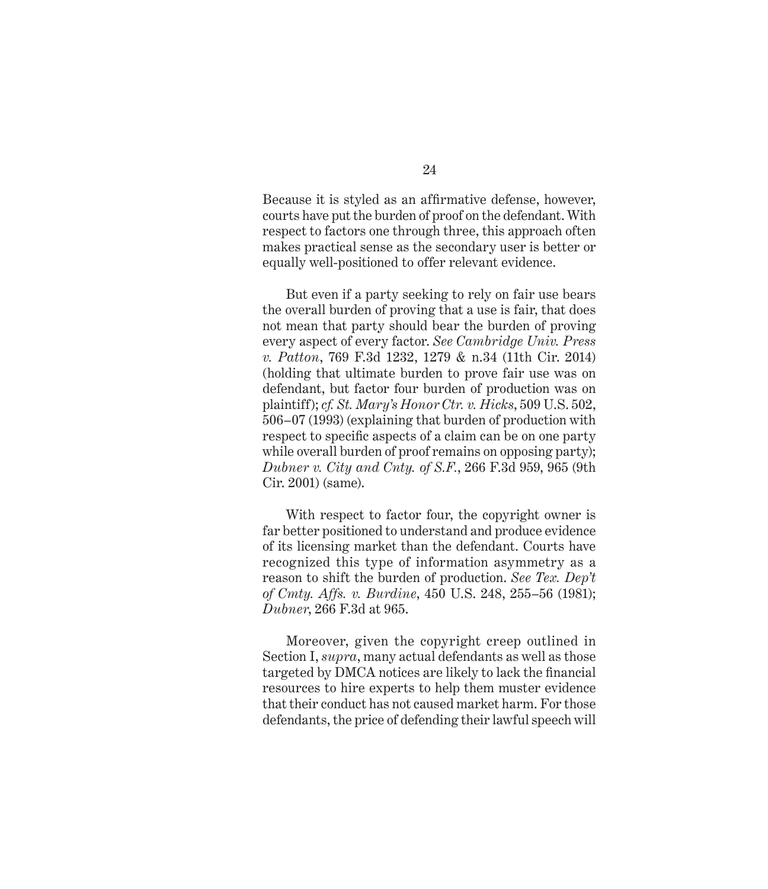Because it is styled as an affirmative defense, however, courts have put the burden of proof on the defendant. With respect to factors one through three, this approach often makes practical sense as the secondary user is better or equally well-positioned to offer relevant evidence.

But even if a party seeking to rely on fair use bears the overall burden of proving that a use is fair, that does not mean that party should bear the burden of proving every aspect of every factor. *See Cambridge Univ. Press v. Patton*, 769 F.3d 1232, 1279 & n.34 (11th Cir. 2014) (holding that ultimate burden to prove fair use was on defendant, but factor four burden of production was on plaintiff); *cf. St. Mary's Honor Ctr. v. Hicks*, 509 U.S. 502, 506–07 (1993) (explaining that burden of production with respect to specific aspects of a claim can be on one party while overall burden of proof remains on opposing party); *Dubner v. City and Cnty. of S.F.*, 266 F.3d 959, 965 (9th Cir. 2001) (same).

With respect to factor four, the copyright owner is far better positioned to understand and produce evidence of its licensing market than the defendant. Courts have recognized this type of information asymmetry as a reason to shift the burden of production. *See Tex. Dep't of Cmty. Affs. v. Burdine*, 450 U.S. 248, 255–56 (1981); *Dubner*, 266 F.3d at 965.

Moreover, given the copyright creep outlined in Section I, *supra*, many actual defendants as well as those targeted by DMCA notices are likely to lack the financial resources to hire experts to help them muster evidence that their conduct has not caused market harm. For those defendants, the price of defending their lawful speech will

24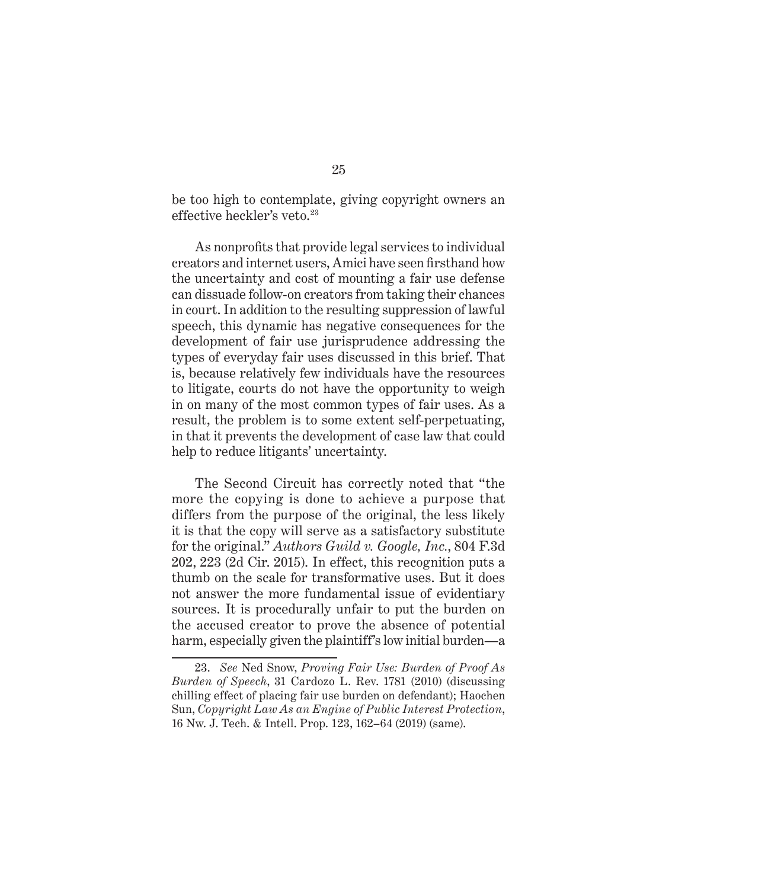be too high to contemplate, giving copyright owners an effective heckler's veto.<sup>23</sup>

As nonprofits that provide legal services to individual creators and internet users, Amici have seen firsthand how the uncertainty and cost of mounting a fair use defense can dissuade follow-on creators from taking their chances in court. In addition to the resulting suppression of lawful speech, this dynamic has negative consequences for the development of fair use jurisprudence addressing the types of everyday fair uses discussed in this brief. That is, because relatively few individuals have the resources to litigate, courts do not have the opportunity to weigh in on many of the most common types of fair uses. As a result, the problem is to some extent self-perpetuating, in that it prevents the development of case law that could help to reduce litigants' uncertainty.

The Second Circuit has correctly noted that "the more the copying is done to achieve a purpose that differs from the purpose of the original, the less likely it is that the copy will serve as a satisfactory substitute for the original." *Authors Guild v. Google, Inc.*, 804 F.3d 202, 223 (2d Cir. 2015). In effect, this recognition puts a thumb on the scale for transformative uses. But it does not answer the more fundamental issue of evidentiary sources. It is procedurally unfair to put the burden on the accused creator to prove the absence of potential harm, especially given the plaintiff's low initial burden—a

<sup>23.</sup> *See* Ned Snow, *Proving Fair Use: Burden of Proof As Burden of Speech*, 31 Cardozo L. Rev. 1781 (2010) (discussing chilling effect of placing fair use burden on defendant); Haochen Sun, *Copyright Law As an Engine of Public Interest Protection*, 16 Nw. J. Tech. & Intell. Prop. 123, 162–64 (2019) (same).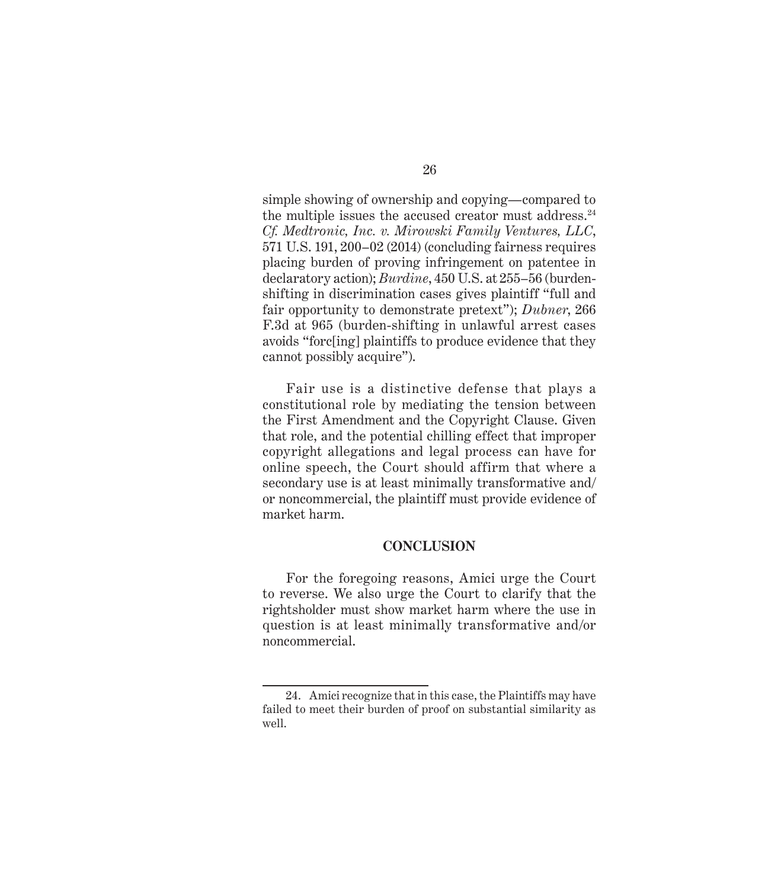simple showing of ownership and copying—compared to the multiple issues the accused creator must address. $24$ *Cf. Medtronic, Inc. v. Mirowski Family Ventures, LLC*, 571 U.S. 191, 200–02 (2014) (concluding fairness requires placing burden of proving infringement on patentee in declaratory action); *Burdine*, 450 U.S. at 255–56 (burdenshifting in discrimination cases gives plaintiff "full and fair opportunity to demonstrate pretext"); *Dubner*, 266 F.3d at 965 (burden-shifting in unlawful arrest cases avoids "forc[ing] plaintiffs to produce evidence that they cannot possibly acquire").

Fair use is a distinctive defense that plays a constitutional role by mediating the tension between the First Amendment and the Copyright Clause. Given that role, and the potential chilling effect that improper copyright allegations and legal process can have for online speech, the Court should affirm that where a secondary use is at least minimally transformative and/ or noncommercial, the plaintiff must provide evidence of market harm.

#### **CONCLUSION**

For the foregoing reasons, Amici urge the Court to reverse. We also urge the Court to clarify that the rightsholder must show market harm where the use in question is at least minimally transformative and/or noncommercial.

<sup>24.</sup> Amici recognize that in this case, the Plaintiffs may have failed to meet their burden of proof on substantial similarity as well.